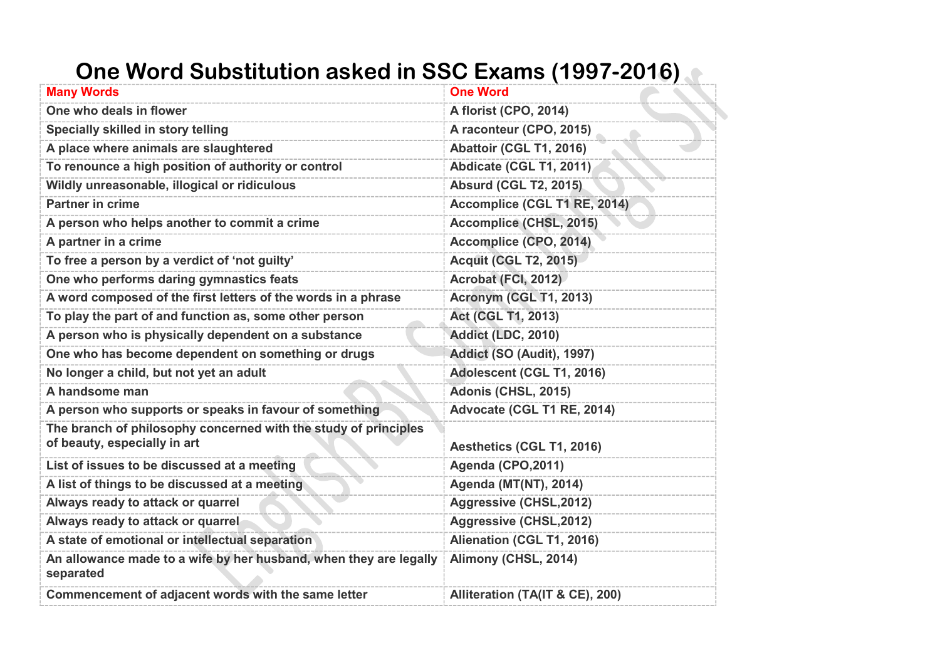## **One Word Substitution asked in SSC Exams (1997-2016)**

| <b>Many Words</b>                                                                               | <b>One Word</b>                 |
|-------------------------------------------------------------------------------------------------|---------------------------------|
| One who deals in flower                                                                         | A florist (CPO, 2014)           |
| Specially skilled in story telling                                                              | A raconteur (CPO, 2015)         |
| A place where animals are slaughtered                                                           | Abattoir (CGL T1, 2016)         |
| To renounce a high position of authority or control                                             | Abdicate (CGL T1, 2011)         |
| Wildly unreasonable, illogical or ridiculous                                                    | <b>Absurd (CGL T2, 2015)</b>    |
| <b>Partner in crime</b>                                                                         | Accomplice (CGL T1 RE, 2014)    |
| A person who helps another to commit a crime                                                    | Accomplice (CHSL, 2015)         |
| A partner in a crime                                                                            | Accomplice (CPO, 2014)          |
| To free a person by a verdict of 'not guilty'                                                   | <b>Acquit (CGL T2, 2015)</b>    |
| One who performs daring gymnastics feats                                                        | Acrobat (FCI, 2012)             |
| A word composed of the first letters of the words in a phrase                                   | <b>Acronym (CGL T1, 2013)</b>   |
| To play the part of and function as, some other person                                          | <b>Act (CGL T1, 2013)</b>       |
| A person who is physically dependent on a substance                                             | Addict (LDC, 2010)              |
| One who has become dependent on something or drugs                                              | Addict (SO (Audit), 1997)       |
| No longer a child, but not yet an adult                                                         | Adolescent (CGL T1, 2016)       |
| A handsome man                                                                                  | Adonis (CHSL, 2015)             |
| A person who supports or speaks in favour of something                                          | Advocate (CGL T1 RE, 2014)      |
| The branch of philosophy concerned with the study of principles<br>of beauty, especially in art | Aesthetics (CGL T1, 2016)       |
| List of issues to be discussed at a meeting                                                     | Agenda (CPO, 2011)              |
| A list of things to be discussed at a meeting                                                   | <b>Agenda (MT(NT), 2014)</b>    |
| Always ready to attack or quarrel                                                               | Aggressive (CHSL, 2012)         |
| Always ready to attack or quarrel                                                               | Aggressive (CHSL, 2012)         |
| A state of emotional or intellectual separation                                                 | Alienation (CGL T1, 2016)       |
| An allowance made to a wife by her husband, when they are legally<br>separated                  | Alimony (CHSL, 2014)            |
| Commencement of adjacent words with the same letter                                             | Alliteration (TA(IT & CE), 200) |
|                                                                                                 |                                 |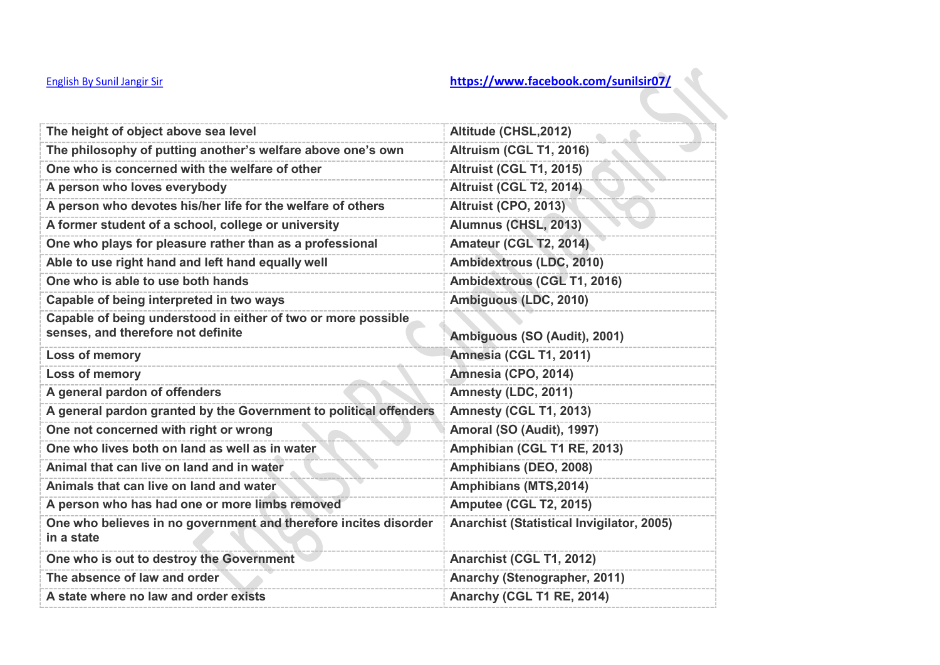| The height of object above sea level                                                                | Altitude (CHSL, 2012)                            |
|-----------------------------------------------------------------------------------------------------|--------------------------------------------------|
| The philosophy of putting another's welfare above one's own                                         | Altruism (CGL T1, 2016)                          |
| One who is concerned with the welfare of other                                                      | <b>Altruist (CGL T1, 2015)</b>                   |
| A person who loves everybody                                                                        | Altruist (CGL T2, 2014)                          |
| A person who devotes his/her life for the welfare of others                                         | Altruist (CPO, 2013)                             |
| A former student of a school, college or university                                                 | Alumnus (CHSL, 2013)                             |
| One who plays for pleasure rather than as a professional                                            | Amateur (CGL T2, 2014)                           |
| Able to use right hand and left hand equally well                                                   | Ambidextrous (LDC, 2010)                         |
| One who is able to use both hands                                                                   | Ambidextrous (CGL T1, 2016)                      |
| Capable of being interpreted in two ways                                                            | Ambiguous (LDC, 2010)                            |
| Capable of being understood in either of two or more possible<br>senses, and therefore not definite | Ambiguous (SO (Audit), 2001)                     |
| Loss of memory                                                                                      | Amnesia (CGL T1, 2011)                           |
| <b>Loss of memory</b>                                                                               | Amnesia (CPO, 2014)                              |
| A general pardon of offenders                                                                       | Amnesty (LDC, 2011)                              |
| A general pardon granted by the Government to political offenders                                   | Amnesty (CGL T1, 2013)                           |
| One not concerned with right or wrong                                                               | Amoral (SO (Audit), 1997)                        |
| One who lives both on land as well as in water                                                      | Amphibian (CGL T1 RE, 2013)                      |
| Animal that can live on land and in water                                                           | Amphibians (DEO, 2008)                           |
|                                                                                                     |                                                  |
| Animals that can live on land and water                                                             | Amphibians (MTS, 2014)                           |
| A person who has had one or more limbs removed                                                      | Amputee (CGL T2, 2015)                           |
| One who believes in no government and therefore incites disorder<br>in a state                      | <b>Anarchist (Statistical Invigilator, 2005)</b> |
| One who is out to destroy the Government                                                            | Anarchist (CGL T1, 2012)                         |
| The absence of law and order                                                                        | Anarchy (Stenographer, 2011)                     |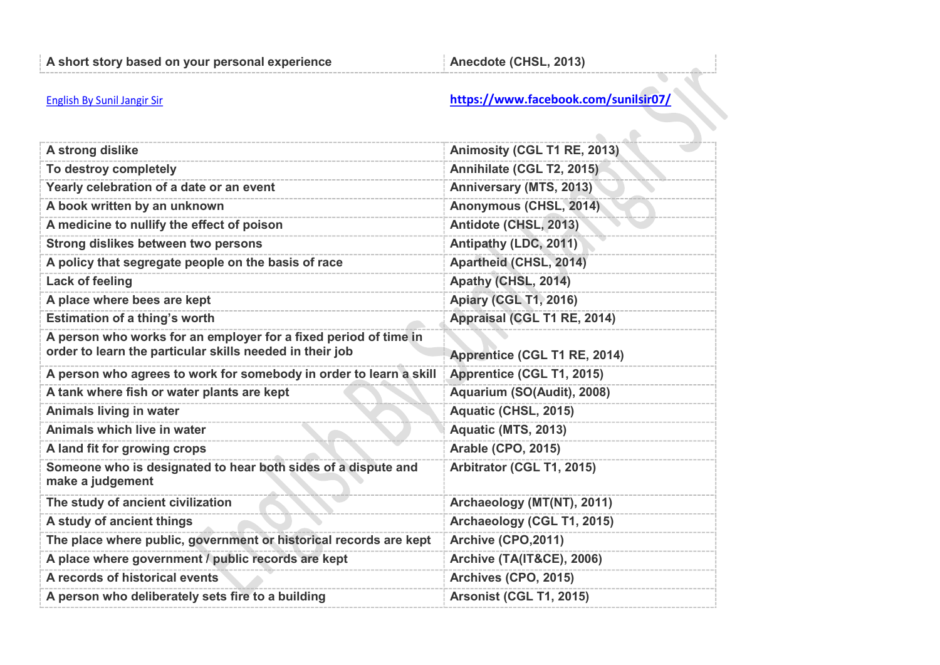| A strong dislike                                                                                                             | Animosity (CGL T1 RE, 2013)    |
|------------------------------------------------------------------------------------------------------------------------------|--------------------------------|
| To destroy completely                                                                                                        | Annihilate (CGL T2, 2015)      |
| Yearly celebration of a date or an event                                                                                     | Anniversary (MTS, 2013)        |
| A book written by an unknown                                                                                                 | Anonymous (CHSL, 2014)         |
| A medicine to nullify the effect of poison                                                                                   | Antidote (CHSL, 2013)          |
| Strong dislikes between two persons                                                                                          | Antipathy (LDC, 2011)          |
| A policy that segregate people on the basis of race                                                                          | Apartheid (CHSL, 2014)         |
| <b>Lack of feeling</b>                                                                                                       | Apathy (CHSL, 2014)            |
| A place where bees are kept                                                                                                  | <b>Apiary (CGL T1, 2016)</b>   |
| <b>Estimation of a thing's worth</b>                                                                                         | Appraisal (CGL T1 RE, 2014)    |
| A person who works for an employer for a fixed period of time in<br>order to learn the particular skills needed in their job | Apprentice (CGL T1 RE, 2014)   |
| A person who agrees to work for somebody in order to learn a skill                                                           | Apprentice (CGL T1, 2015)      |
| A tank where fish or water plants are kept                                                                                   | Aquarium (SO(Audit), 2008)     |
| <b>Animals living in water</b>                                                                                               | Aquatic (CHSL, 2015)           |
| Animals which live in water                                                                                                  | Aquatic (MTS, 2013)            |
| A land fit for growing crops                                                                                                 | <b>Arable (CPO, 2015)</b>      |
| Someone who is designated to hear both sides of a dispute and<br>make a judgement                                            | Arbitrator (CGL T1, 2015)      |
| The study of ancient civilization                                                                                            | Archaeology (MT(NT), 2011)     |
| A study of ancient things                                                                                                    | Archaeology (CGL T1, 2015)     |
| The place where public, government or historical records are kept                                                            | Archive (CPO, 2011)            |
| A place where government / public records are kept                                                                           | Archive (TA(IT&CE), 2006)      |
| A records of historical events                                                                                               | Archives (CPO, 2015)           |
| A person who deliberately sets fire to a building                                                                            | <b>Arsonist (CGL T1, 2015)</b> |
|                                                                                                                              |                                |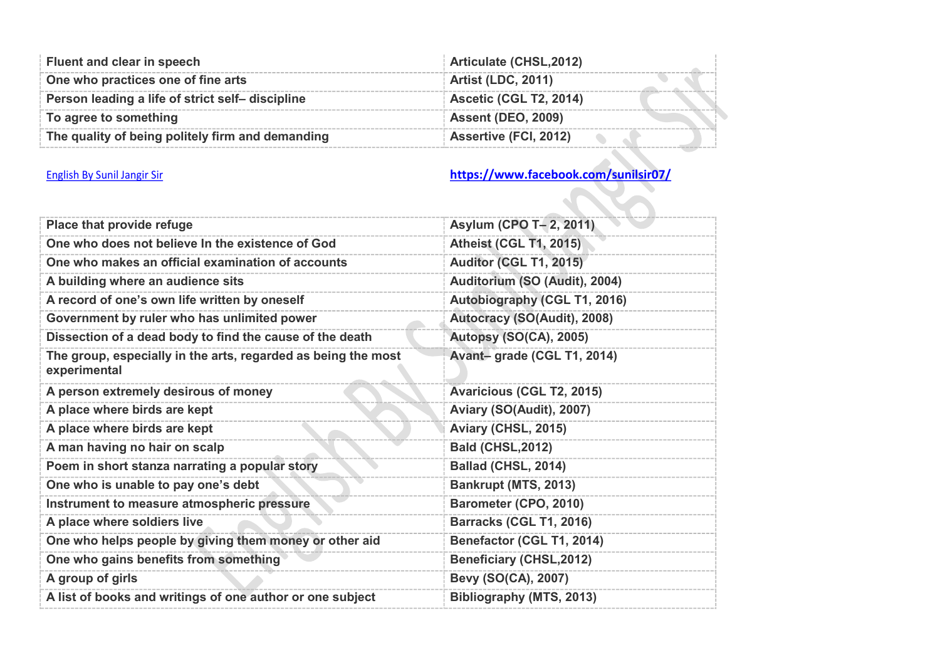| Fluent and clear in speech                       | Articulate (CHSL, 2012)       |
|--------------------------------------------------|-------------------------------|
| One who practices one of fine arts               | <b>Artist (LDC, 2011)</b>     |
| Person leading a life of strict self-discipline  | <b>Ascetic (CGL T2, 2014)</b> |
| To agree to something                            | <b>Assent (DEO, 2009)</b>     |
| The quality of being politely firm and demanding | <b>Assertive (FCI, 2012)</b>  |

| Place that provide refuge                                                     | Asylum (CPO T- 2, 2011)          |
|-------------------------------------------------------------------------------|----------------------------------|
| One who does not believe In the existence of God                              | <b>Atheist (CGL T1, 2015)</b>    |
| One who makes an official examination of accounts                             | Auditor (CGL T1, 2015)           |
| A building where an audience sits                                             | Auditorium (SO (Audit), 2004)    |
| A record of one's own life written by oneself                                 | Autobiography (CGL T1, 2016)     |
| Government by ruler who has unlimited power                                   | Autocracy (SO(Audit), 2008)      |
| Dissection of a dead body to find the cause of the death                      | <b>Autopsy (SO(CA), 2005)</b>    |
| The group, especially in the arts, regarded as being the most<br>experimental | Avant-grade (CGL T1, 2014)       |
| A person extremely desirous of money                                          | <b>Avaricious (CGL T2, 2015)</b> |
| A place where birds are kept                                                  | Aviary (SO(Audit), 2007)         |
| A place where birds are kept                                                  | Aviary (CHSL, 2015)              |
| A man having no hair on scalp                                                 | <b>Bald (CHSL, 2012)</b>         |
| Poem in short stanza narrating a popular story                                | Ballad (CHSL, 2014)              |
| One who is unable to pay one's debt                                           | Bankrupt (MTS, 2013)             |
| Instrument to measure atmospheric pressure                                    | Barometer (CPO, 2010)            |
| A place where soldiers live                                                   | Barracks (CGL T1, 2016)          |
| One who helps people by giving them money or other aid                        | Benefactor (CGL T1, 2014)        |
| One who gains benefits from something                                         | <b>Beneficiary (CHSL, 2012)</b>  |
| A group of girls                                                              | Bevy (SO(CA), 2007)              |
| A list of books and writings of one author or one subject                     | Bibliography (MTS, 2013)         |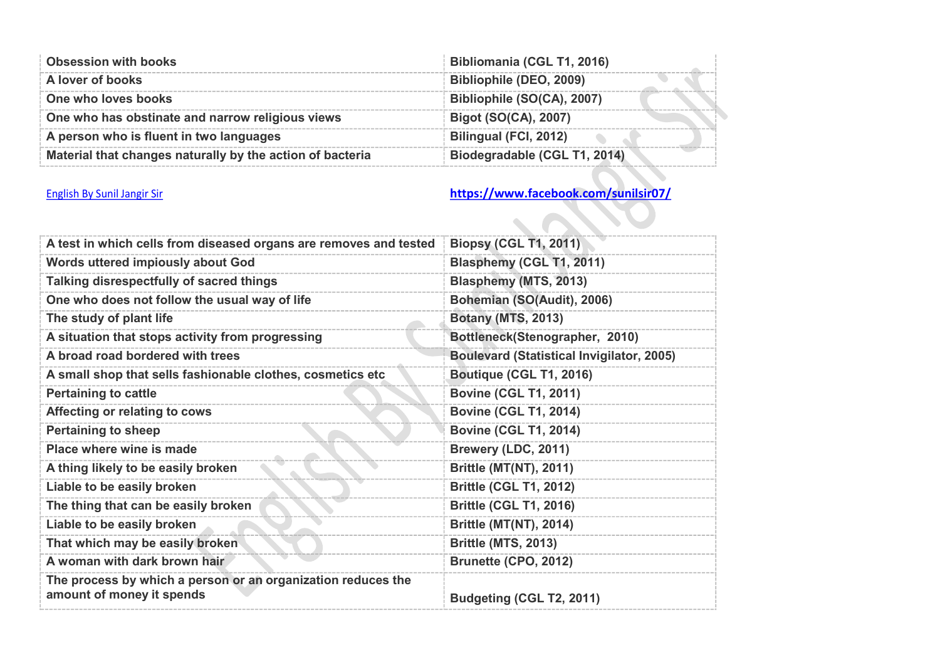| <b>Obsession with books</b>                               | Bibliomania (CGL T1, 2016)   |
|-----------------------------------------------------------|------------------------------|
| A lover of books                                          | Bibliophile (DEO, 2009)      |
| One who loves books                                       | Bibliophile (SO(CA), 2007)   |
| One who has obstinate and narrow religious views          | Bigot (SO(CA), 2007)         |
| A person who is fluent in two languages                   | Bilingual (FCI, 2012)        |
| Material that changes naturally by the action of bacteria | Biodegradable (CGL T1, 2014) |

| A test in which cells from diseased organs are removes and tested                         | <b>Biopsy (CGL T1, 2011)</b>                     |
|-------------------------------------------------------------------------------------------|--------------------------------------------------|
| Words uttered impiously about God                                                         | Blasphemy (CGL T1, 2011)                         |
| Talking disrespectfully of sacred things                                                  | Blasphemy (MTS, 2013)                            |
| One who does not follow the usual way of life                                             | Bohemian (SO(Audit), 2006)                       |
| The study of plant life                                                                   | <b>Botany (MTS, 2013)</b>                        |
| A situation that stops activity from progressing                                          | Bottleneck(Stenographer, 2010)                   |
| A broad road bordered with trees                                                          | <b>Boulevard (Statistical Invigilator, 2005)</b> |
| A small shop that sells fashionable clothes, cosmetics etc                                | Boutique (CGL T1, 2016)                          |
| <b>Pertaining to cattle</b>                                                               | <b>Bovine (CGL T1, 2011)</b>                     |
| Affecting or relating to cows                                                             | <b>Bovine (CGL T1, 2014)</b>                     |
| <b>Pertaining to sheep</b>                                                                | <b>Bovine (CGL T1, 2014)</b>                     |
| Place where wine is made                                                                  | Brewery (LDC, 2011)                              |
| A thing likely to be easily broken                                                        | <b>Brittle (MT(NT), 2011)</b>                    |
| Liable to be easily broken                                                                | <b>Brittle (CGL T1, 2012)</b>                    |
| The thing that can be easily broken                                                       | <b>Brittle (CGL T1, 2016)</b>                    |
| Liable to be easily broken                                                                | <b>Brittle (MT(NT), 2014)</b>                    |
| That which may be easily broken                                                           | <b>Brittle (MTS, 2013)</b>                       |
| A woman with dark brown hair                                                              | Brunette (CPO, 2012)                             |
| The process by which a person or an organization reduces the<br>amount of money it spends | Budgeting (CGL T2, 2011)                         |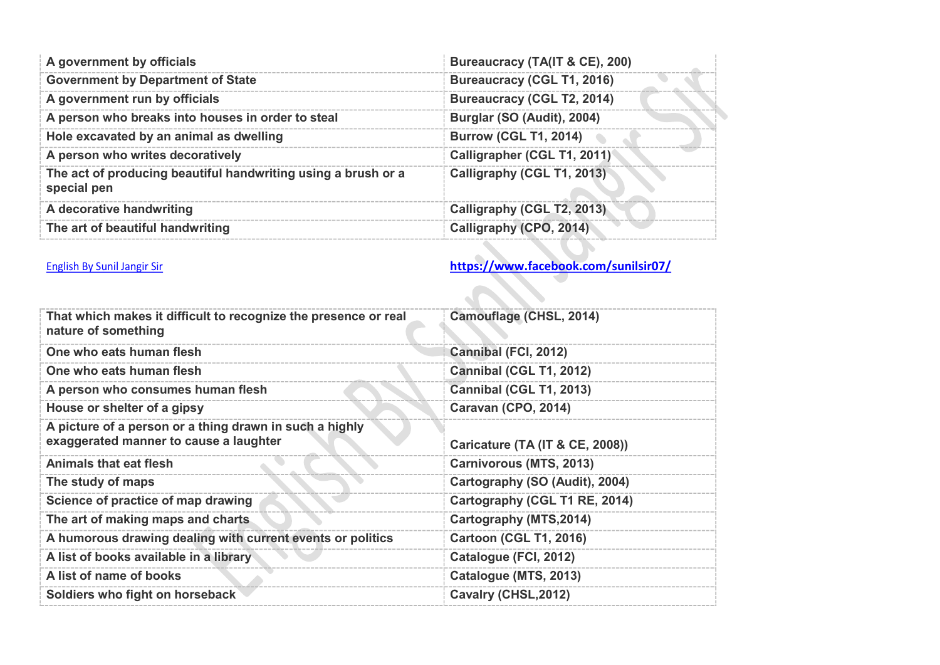| A government by officials                                                    | Bureaucracy (TA(IT & CE), 200)    |
|------------------------------------------------------------------------------|-----------------------------------|
| <b>Government by Department of State</b>                                     | <b>Bureaucracy (CGL T1, 2016)</b> |
| A government run by officials                                                | <b>Bureaucracy (CGL T2, 2014)</b> |
| A person who breaks into houses in order to steal                            | Burglar (SO (Audit), 2004)        |
| Hole excavated by an animal as dwelling                                      | <b>Burrow (CGL T1, 2014)</b>      |
| A person who writes decoratively                                             | Calligrapher (CGL T1, 2011)       |
| The act of producing beautiful handwriting using a brush or a<br>special pen | Calligraphy (CGL T1, 2013)        |
| A decorative handwriting                                                     | Calligraphy (CGL T2, 2013)        |
| The art of beautiful handwriting                                             | Calligraphy (CPO, 2014)           |

| That which makes it difficult to recognize the presence or real<br>nature of something            | Camouflage (CHSL, 2014)         |
|---------------------------------------------------------------------------------------------------|---------------------------------|
| One who eats human flesh                                                                          | Cannibal (FCI, 2012)            |
| One who eats human flesh                                                                          | Cannibal (CGL T1, 2012)         |
| A person who consumes human flesh                                                                 | Cannibal (CGL T1, 2013)         |
| House or shelter of a gipsy                                                                       | Caravan (CPO, 2014)             |
| A picture of a person or a thing drawn in such a highly<br>exaggerated manner to cause a laughter | Caricature (TA (IT & CE, 2008)) |
| <b>Animals that eat flesh</b>                                                                     | <b>Carnivorous (MTS, 2013)</b>  |
| The study of maps                                                                                 | Cartography (SO (Audit), 2004)  |
| Science of practice of map drawing                                                                | Cartography (CGL T1 RE, 2014)   |
| The art of making maps and charts                                                                 | Cartography (MTS, 2014)         |
| A humorous drawing dealing with current events or politics                                        | <b>Cartoon (CGL T1, 2016)</b>   |
| A list of books available in a library                                                            | Catalogue (FCI, 2012)           |
| A list of name of books                                                                           | Catalogue (MTS, 2013)           |
| Soldiers who fight on horseback                                                                   | Cavalry (CHSL, 2012)            |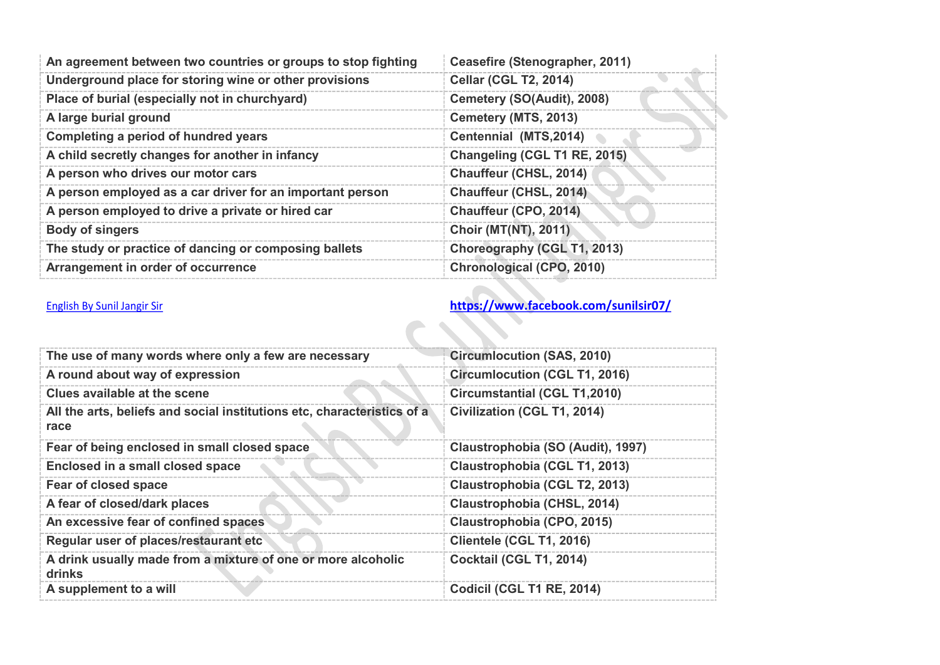| An agreement between two countries or groups to stop fighting | Ceasefire (Stenographer, 2011) |
|---------------------------------------------------------------|--------------------------------|
| Underground place for storing wine or other provisions        | <b>Cellar (CGL T2, 2014)</b>   |
| Place of burial (especially not in churchyard)                | Cemetery (SO(Audit), 2008)     |
| A large burial ground                                         | Cemetery (MTS, 2013)           |
| Completing a period of hundred years                          | Centennial (MTS, 2014)         |
| A child secretly changes for another in infancy               | Changeling (CGL T1 RE, 2015)   |
| A person who drives our motor cars                            | <b>Chauffeur (CHSL, 2014)</b>  |
| A person employed as a car driver for an important person     | <b>Chauffeur (CHSL, 2014)</b>  |
| A person employed to drive a private or hired car             | Chauffeur (CPO, 2014)          |
| <b>Body of singers</b>                                        | <b>Choir (MT(NT), 2011)</b>    |
| The study or practice of dancing or composing ballets         | Choreography (CGL T1, 2013)    |
| Arrangement in order of occurrence                            | Chronological (CPO, 2010)      |

| The use of many words where only a few are necessary                            | <b>Circumlocution (SAS, 2010)</b>    |
|---------------------------------------------------------------------------------|--------------------------------------|
| A round about way of expression                                                 | <b>Circumlocution (CGL T1, 2016)</b> |
| Clues available at the scene                                                    | <b>Circumstantial (CGL T1,2010)</b>  |
| All the arts, beliefs and social institutions etc, characteristics of a<br>race | Civilization (CGL T1, 2014)          |
| Fear of being enclosed in small closed space                                    | Claustrophobia (SO (Audit), 1997)    |
| Enclosed in a small closed space                                                | Claustrophobia (CGL T1, 2013)        |
| Fear of closed space                                                            | Claustrophobia (CGL T2, 2013)        |
| A fear of closed/dark places                                                    | Claustrophobia (CHSL, 2014)          |
| An excessive fear of confined spaces                                            | Claustrophobia (CPO, 2015)           |
| Regular user of places/restaurant etc                                           | Clientele (CGL T1, 2016)             |
| A drink usually made from a mixture of one or more alcoholic<br>drinks          | Cocktail (CGL T1, 2014)              |
| A supplement to a will                                                          | Codicil (CGL T1 RE, 2014)            |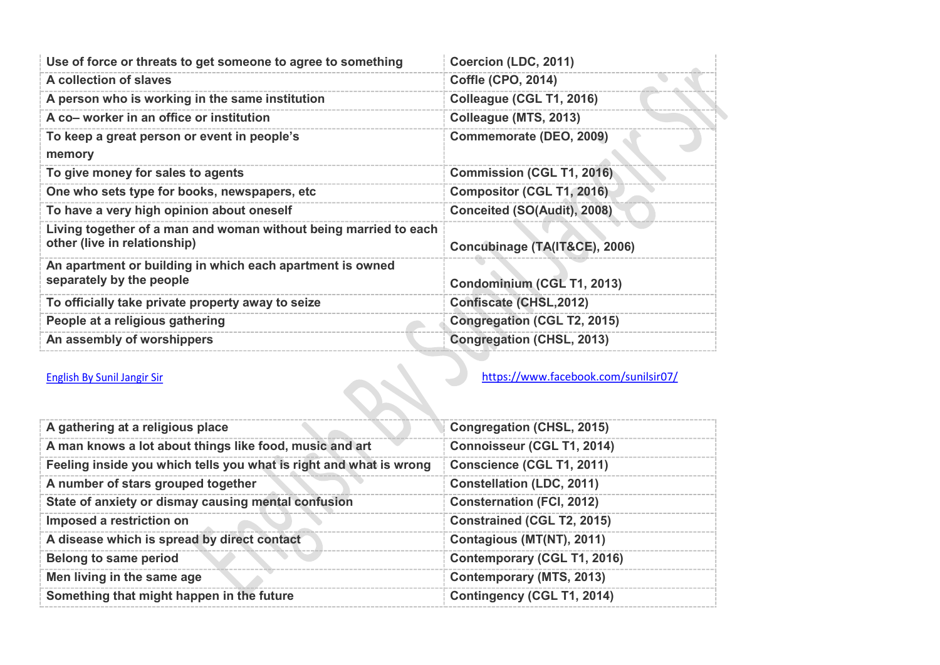| Use of force or threats to get someone to agree to something                                     | Coercion (LDC, 2011)               |
|--------------------------------------------------------------------------------------------------|------------------------------------|
| A collection of slaves                                                                           | <b>Coffle (CPO, 2014)</b>          |
| A person who is working in the same institution                                                  | Colleague (CGL T1, 2016)           |
| A co- worker in an office or institution                                                         | Colleague (MTS, 2013)              |
| To keep a great person or event in people's<br>memory                                            | Commemorate (DEO, 2009)            |
| To give money for sales to agents                                                                | <b>Commission (CGL T1, 2016)</b>   |
| One who sets type for books, newspapers, etc.                                                    | <b>Compositor (CGL T1, 2016)</b>   |
| To have a very high opinion about oneself                                                        | <b>Conceited (SO(Audit), 2008)</b> |
| Living together of a man and woman without being married to each<br>other (live in relationship) | Concubinage (TA(IT&CE), 2006)      |
| An apartment or building in which each apartment is owned<br>separately by the people            | Condominium (CGL T1, 2013)         |
| To officially take private property away to seize                                                | <b>Confiscate (CHSL, 2012)</b>     |
| People at a religious gathering                                                                  | Congregation (CGL T2, 2015)        |
| An assembly of worshippers                                                                       | <b>Congregation (CHSL, 2013)</b>   |

| A gathering at a religious place                                   | Congregation (CHSL, 2015)         |
|--------------------------------------------------------------------|-----------------------------------|
| A man knows a lot about things like food, music and art            | <b>Connoisseur (CGL T1, 2014)</b> |
| Feeling inside you which tells you what is right and what is wrong | Conscience (CGL T1, 2011)         |
| A number of stars grouped together                                 | <b>Constellation (LDC, 2011)</b>  |
| State of anxiety or dismay causing mental confusion                | <b>Consternation (FCI, 2012)</b>  |
| Imposed a restriction on                                           | <b>Constrained (CGL T2, 2015)</b> |
| A disease which is spread by direct contact                        | Contagious (MT(NT), 2011)         |
| Belong to same period                                              | Contemporary (CGL T1, 2016)       |
| Men living in the same age                                         | Contemporary (MTS, 2013)          |
| Something that might happen in the future                          | Contingency (CGL T1, 2014)        |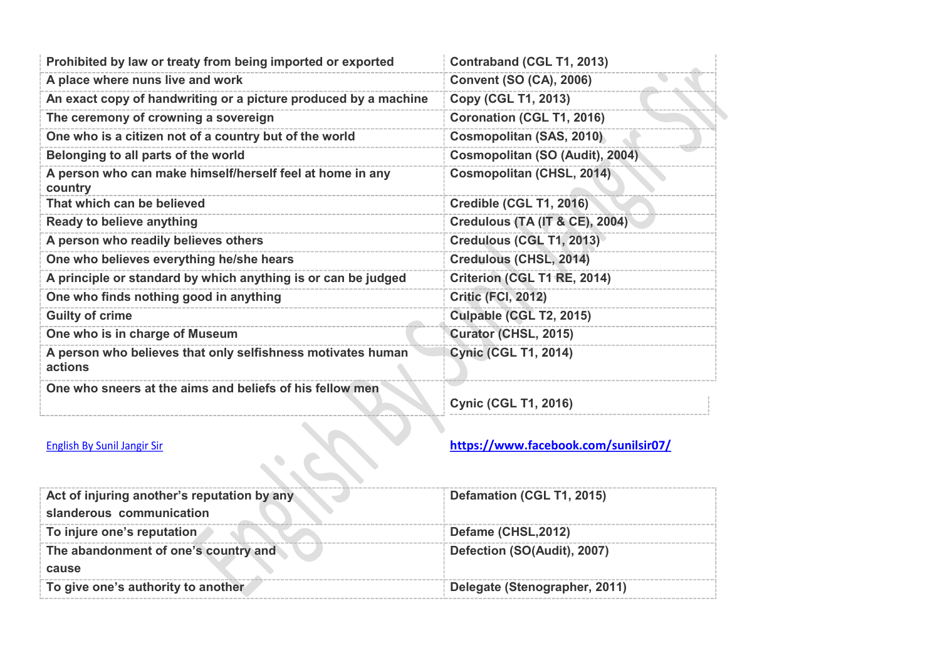| Prohibited by law or treaty from being imported or exported            | Contraband (CGL T1, 2013)                 |
|------------------------------------------------------------------------|-------------------------------------------|
| A place where nuns live and work                                       | <b>Convent (SO (CA), 2006)</b>            |
| An exact copy of handwriting or a picture produced by a machine        | Copy (CGL T1, 2013)                       |
| The ceremony of crowning a sovereign                                   | Coronation (CGL T1, 2016)                 |
| One who is a citizen not of a country but of the world                 | Cosmopolitan (SAS, 2010)                  |
| Belonging to all parts of the world                                    | Cosmopolitan (SO (Audit), 2004)           |
| A person who can make himself/herself feel at home in any<br>country   | Cosmopolitan (CHSL, 2014)                 |
| That which can be believed                                             | Credible (CGL T1, 2016)                   |
| Ready to believe anything                                              | <b>Credulous (TA (IT &amp; CE), 2004)</b> |
| A person who readily believes others                                   | Credulous (CGL T1, 2013)                  |
| One who believes everything he/she hears                               | Credulous (CHSL, 2014)                    |
| A principle or standard by which anything is or can be judged          | Criterion (CGL T1 RE, 2014)               |
| One who finds nothing good in anything                                 | <b>Critic (FCI, 2012)</b>                 |
| <b>Guilty of crime</b>                                                 | Culpable (CGL T2, 2015)                   |
| One who is in charge of Museum                                         | Curator (CHSL, 2015)                      |
| A person who believes that only selfishness motivates human<br>actions | <b>Cynic (CGL T1, 2014)</b>               |
| One who sneers at the aims and beliefs of his fellow men               | <b>Cynic (CGL T1, 2016)</b>               |
| <b>English By Sunil Jangir Sir</b>                                     | https://www.facebook.com/sunilsir07/      |

| Act of injuring another's reputation by any<br>slanderous communication | Defamation (CGL T1, 2015)     |
|-------------------------------------------------------------------------|-------------------------------|
| To injure one's reputation                                              | Defame (CHSL, 2012)           |
| The abandonment of one's country and                                    | Defection (SO(Audit), 2007)   |
| cause                                                                   |                               |
| To give one's authority to another                                      | Delegate (Stenographer, 2011) |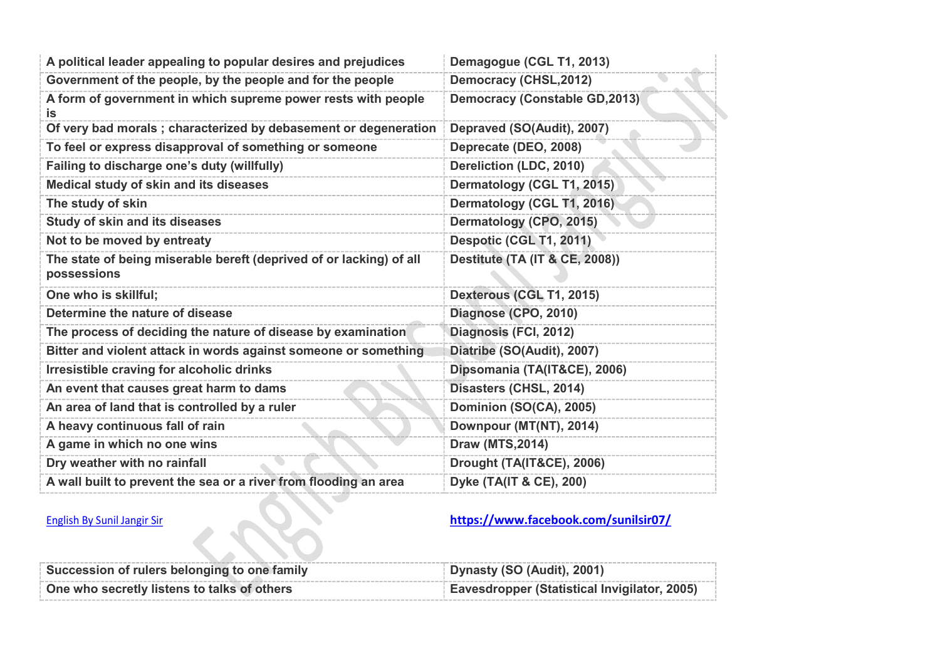| A political leader appealing to popular desires and prejudices                     | Demagogue (CGL T1, 2013)                  |
|------------------------------------------------------------------------------------|-------------------------------------------|
| Government of the people, by the people and for the people                         | <b>Democracy (CHSL, 2012)</b>             |
| A form of government in which supreme power rests with people<br>İS.               | Democracy (Constable GD, 2013)            |
| Of very bad morals; characterized by debasement or degeneration                    | Depraved (SO(Audit), 2007)                |
| To feel or express disapproval of something or someone                             | Deprecate (DEO, 2008)                     |
| Failing to discharge one's duty (willfully)                                        | Dereliction (LDC, 2010)                   |
| Medical study of skin and its diseases                                             | Dermatology (CGL T1, 2015)                |
| The study of skin                                                                  | Dermatology (CGL T1, 2016)                |
| <b>Study of skin and its diseases</b>                                              | Dermatology (CPO, 2015)                   |
| Not to be moved by entreaty                                                        | Despotic (CGL T1, 2011)                   |
| The state of being miserable bereft (deprived of or lacking) of all<br>possessions | <b>Destitute (TA (IT &amp; CE, 2008))</b> |
| One who is skillful;                                                               | Dexterous (CGL T1, 2015)                  |
| Determine the nature of disease                                                    | Diagnose (CPO, 2010)                      |
| The process of deciding the nature of disease by examination                       | Diagnosis (FCI, 2012)                     |
| Bitter and violent attack in words against someone or something                    | Diatribe (SO(Audit), 2007)                |
| Irresistible craving for alcoholic drinks                                          | Dipsomania (TA(IT&CE), 2006)              |
| An event that causes great harm to dams                                            | Disasters (CHSL, 2014)                    |
| An area of land that is controlled by a ruler                                      | Dominion (SO(CA), 2005)                   |
| A heavy continuous fall of rain                                                    | Downpour (MT(NT), 2014)                   |
| A game in which no one wins                                                        | <b>Draw (MTS, 2014)</b>                   |
| Dry weather with no rainfall                                                       | <b>Drought (TA(IT&amp;CE), 2006)</b>      |
| A wall built to prevent the sea or a river from flooding an area                   | Dyke (TA(IT & CE), 200)                   |

| Succession of rulers belonging to one family | Dynasty (SO (Audit), 2001)                   |
|----------------------------------------------|----------------------------------------------|
| One who secretly listens to talks of others  | Eavesdropper (Statistical Invigilator, 2005) |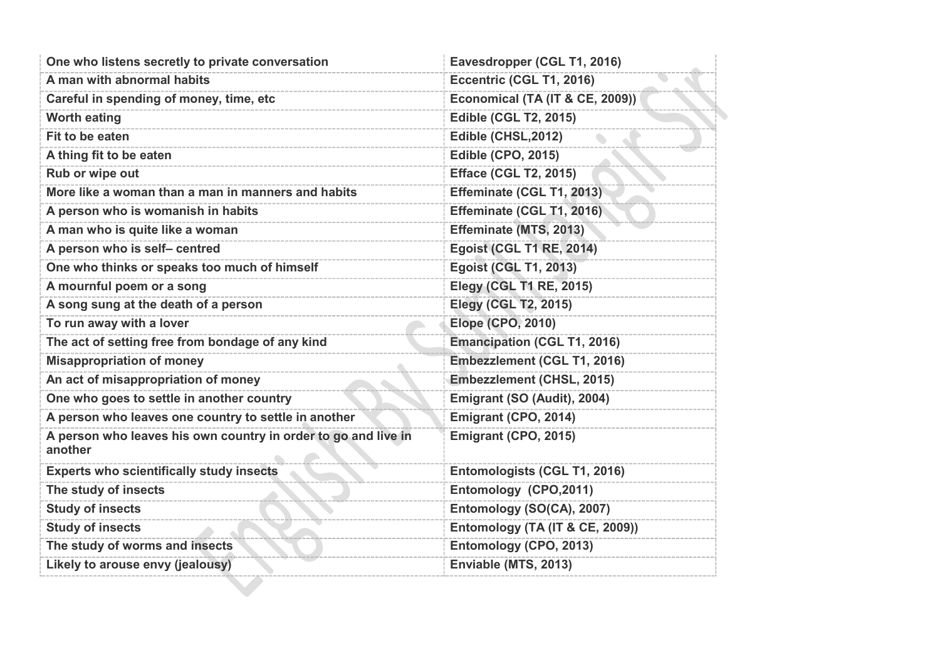| One who listens secretly to private conversation                          | Eavesdropper (CGL T1, 2016)        |
|---------------------------------------------------------------------------|------------------------------------|
| A man with abnormal habits                                                | Eccentric (CGL T1, 2016)           |
| Careful in spending of money, time, etc                                   | Economical (TA (IT & CE, 2009))    |
| <b>Worth eating</b>                                                       | <b>Edible (CGL T2, 2015)</b>       |
| Fit to be eaten                                                           | Edible (CHSL, 2012)                |
| A thing fit to be eaten                                                   | <b>Edible (CPO, 2015)</b>          |
| Rub or wipe out                                                           | <b>Efface (CGL T2, 2015)</b>       |
| More like a woman than a man in manners and habits                        | Effeminate (CGL T1, 2013)          |
| A person who is womanish in habits                                        | Effeminate (CGL T1, 2016)          |
| A man who is quite like a woman                                           | Effeminate (MTS, 2013)             |
| A person who is self- centred                                             | <b>Egoist (CGL T1 RE, 2014)</b>    |
| One who thinks or speaks too much of himself                              | <b>Egoist (CGL T1, 2013)</b>       |
| A mournful poem or a song                                                 | <b>Elegy (CGL T1 RE, 2015)</b>     |
| A song sung at the death of a person                                      | <b>Elegy (CGL T2, 2015)</b>        |
| To run away with a lover                                                  | <b>Elope (CPO, 2010)</b>           |
| The act of setting free from bondage of any kind                          | <b>Emancipation (CGL T1, 2016)</b> |
| <b>Misappropriation of money</b>                                          | Embezzlement (CGL T1, 2016)        |
| An act of misappropriation of money                                       | <b>Embezzlement (CHSL, 2015)</b>   |
| One who goes to settle in another country                                 | Emigrant (SO (Audit), 2004)        |
| A person who leaves one country to settle in another                      | Emigrant (CPO, 2014)               |
| A person who leaves his own country in order to go and live in<br>another | Emigrant (CPO, 2015)               |
| <b>Experts who scientifically study insects</b>                           | Entomologists (CGL T1, 2016)       |
| The study of insects                                                      | Entomology (CPO,2011)              |
| <b>Study of insects</b>                                                   | Entomology (SO(CA), 2007)          |
| <b>Study of insects</b>                                                   | Entomology (TA (IT & CE, 2009))    |
| The study of worms and insects                                            | Entomology (CPO, 2013)             |
| Likely to arouse envy (jealousy)                                          | Enviable (MTS, 2013)               |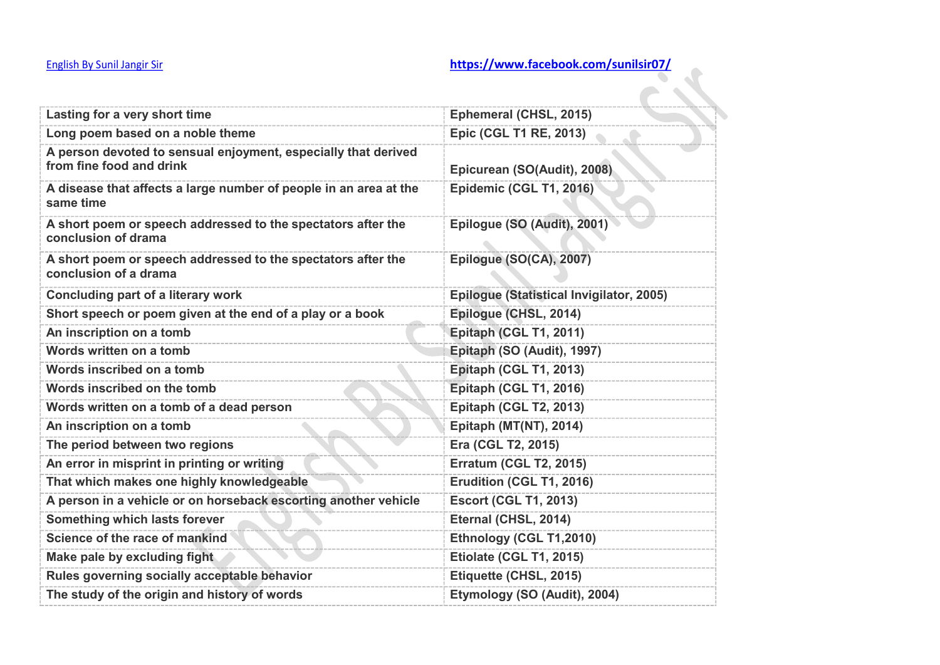| <b>English By Sunil Jangir Sir</b>                                                         | https://www.facebook.com/sunilsir07/     |
|--------------------------------------------------------------------------------------------|------------------------------------------|
|                                                                                            |                                          |
| Lasting for a very short time                                                              | Ephemeral (CHSL, 2015)                   |
| Long poem based on a noble theme                                                           | <b>Epic (CGL T1 RE, 2013)</b>            |
| A person devoted to sensual enjoyment, especially that derived<br>from fine food and drink | Epicurean (SO(Audit), 2008)              |
| A disease that affects a large number of people in an area at the<br>same time             | Epidemic (CGL T1, 2016)                  |
| A short poem or speech addressed to the spectators after the<br>conclusion of drama        | Epilogue (SO (Audit), 2001)              |
| A short poem or speech addressed to the spectators after the<br>conclusion of a drama      | Epilogue (SO(CA), 2007)                  |
| <b>Concluding part of a literary work</b>                                                  | Epiloque (Statistical Invigilator, 2005) |
| Short speech or poem given at the end of a play or a book                                  | Epilogue (CHSL, 2014)                    |
| An inscription on a tomb                                                                   | Epitaph (CGL T1, 2011)                   |
| Words written on a tomb                                                                    | Epitaph (SO (Audit), 1997)               |
| Words inscribed on a tomb                                                                  | <b>Epitaph (CGL T1, 2013)</b>            |
| Words inscribed on the tomb                                                                | Epitaph (CGL T1, 2016)                   |
| Words written on a tomb of a dead person                                                   | <b>Epitaph (CGL T2, 2013)</b>            |
| An inscription on a tomb                                                                   | Epitaph (MT(NT), 2014)                   |
| The period between two regions                                                             | Era (CGL T2, 2015)                       |
| An error in misprint in printing or writing                                                | <b>Erratum (CGL T2, 2015)</b>            |
| That which makes one highly knowledgeable                                                  | Erudition (CGL T1, 2016)                 |
| A person in a vehicle or on horseback escorting another vehicle                            | <b>Escort (CGL T1, 2013)</b>             |
| Something which lasts forever                                                              | Eternal (CHSL, 2014)                     |
| Science of the race of mankind                                                             | Ethnology (CGL T1,2010)                  |
| Make pale by excluding fight                                                               | Etiolate (CGL T1, 2015)                  |
| Rules governing socially acceptable behavior                                               | Etiquette (CHSL, 2015)                   |
| The study of the origin and history of words                                               | Etymology (SO (Audit), 2004)             |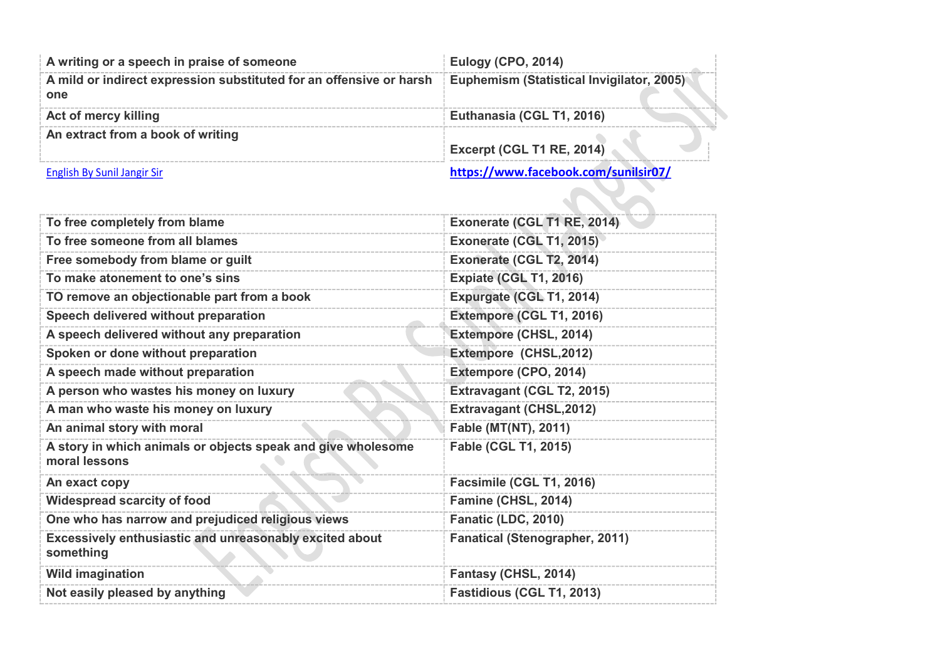| A writing or a speech in praise of someone                                 | <b>Eulogy (CPO, 2014)</b>                        |
|----------------------------------------------------------------------------|--------------------------------------------------|
| A mild or indirect expression substituted for an offensive or harsh<br>one | <b>Euphemism (Statistical Invigilator, 2005)</b> |
| Act of mercy killing                                                       | Euthanasia (CGL T1, 2016)                        |
| An extract from a book of writing                                          | Excerpt (CGL T1 RE, 2014)                        |
| English By Sunil Jangir Sir                                                | https://www.facebook.com/sunilsir07/             |

| To free completely from blame                                                 | Exonerate (CGL T1 RE, 2014)           |
|-------------------------------------------------------------------------------|---------------------------------------|
| To free someone from all blames                                               | Exonerate (CGL T1, 2015)              |
| Free somebody from blame or guilt                                             | Exonerate (CGL T2, 2014)              |
| To make atonement to one's sins                                               | <b>Expiate (CGL T1, 2016)</b>         |
| TO remove an objectionable part from a book                                   | Expurgate (CGL T1, 2014)              |
| Speech delivered without preparation                                          | Extempore (CGL T1, 2016)              |
| A speech delivered without any preparation                                    | Extempore (CHSL, 2014)                |
| Spoken or done without preparation                                            | Extempore (CHSL,2012)                 |
| A speech made without preparation                                             | Extempore (CPO, 2014)                 |
| A person who wastes his money on luxury                                       | Extravagant (CGL T2, 2015)            |
| A man who waste his money on luxury                                           | <b>Extravagant (CHSL, 2012)</b>       |
| An animal story with moral                                                    | <b>Fable (MT(NT), 2011)</b>           |
| A story in which animals or objects speak and give wholesome<br>moral lessons | <b>Fable (CGL T1, 2015)</b>           |
| An exact copy                                                                 | Facsimile (CGL T1, 2016)              |
| <b>Widespread scarcity of food</b>                                            | Famine (CHSL, 2014)                   |
| One who has narrow and prejudiced religious views                             | Fanatic (LDC, 2010)                   |
| Excessively enthusiastic and unreasonably excited about<br>something          | <b>Fanatical (Stenographer, 2011)</b> |
| <b>Wild imagination</b>                                                       | Fantasy (CHSL, 2014)                  |
| Not easily pleased by anything                                                | Fastidious (CGL T1, 2013)             |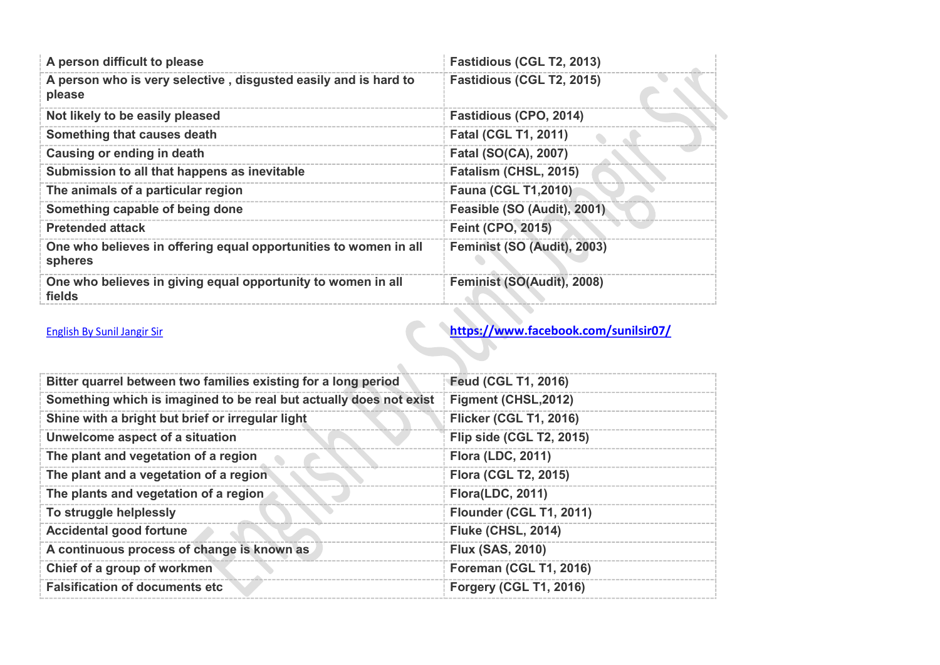| A person difficult to please                                                | Fastidious (CGL T2, 2013)     |
|-----------------------------------------------------------------------------|-------------------------------|
| A person who is very selective, disgusted easily and is hard to<br>please   | Fastidious (CGL T2, 2015)     |
| Not likely to be easily pleased                                             | <b>Fastidious (CPO, 2014)</b> |
| Something that causes death                                                 | <b>Fatal (CGL T1, 2011)</b>   |
| Causing or ending in death                                                  | <b>Fatal (SO(CA), 2007)</b>   |
| Submission to all that happens as inevitable                                | Fatalism (CHSL, 2015)         |
| The animals of a particular region                                          | <b>Fauna (CGL T1,2010)</b>    |
| Something capable of being done                                             | Feasible (SO (Audit), 2001)   |
| <b>Pretended attack</b>                                                     | <b>Feint (CPO, 2015)</b>      |
| One who believes in offering equal opportunities to women in all<br>spheres | Feminist (SO (Audit), 2003)   |
| One who believes in giving equal opportunity to women in all<br>fields      | Feminist (SO(Audit), 2008)    |

| Bitter quarrel between two families existing for a long period     | <b>Feud (CGL T1, 2016)</b>      |
|--------------------------------------------------------------------|---------------------------------|
| Something which is imagined to be real but actually does not exist | Figment (CHSL, 2012)            |
| Shine with a bright but brief or irregular light                   | <b>Flicker (CGL T1, 2016)</b>   |
| Unwelcome aspect of a situation                                    | <b>Flip side (CGL T2, 2015)</b> |
| The plant and vegetation of a region                               | <b>Flora (LDC, 2011)</b>        |
| The plant and a vegetation of a region                             | <b>Flora (CGL T2, 2015)</b>     |
| The plants and vegetation of a region                              | <b>Flora(LDC, 2011)</b>         |
| To struggle helplessly                                             | Flounder (CGL T1, 2011)         |
| <b>Accidental good fortune</b>                                     | <b>Fluke (CHSL, 2014)</b>       |
| A continuous process of change is known as                         | <b>Flux (SAS, 2010)</b>         |
| Chief of a group of workmen                                        | <b>Foreman (CGL T1, 2016)</b>   |
| <b>Falsification of documents etc</b>                              | <b>Forgery (CGL T1, 2016)</b>   |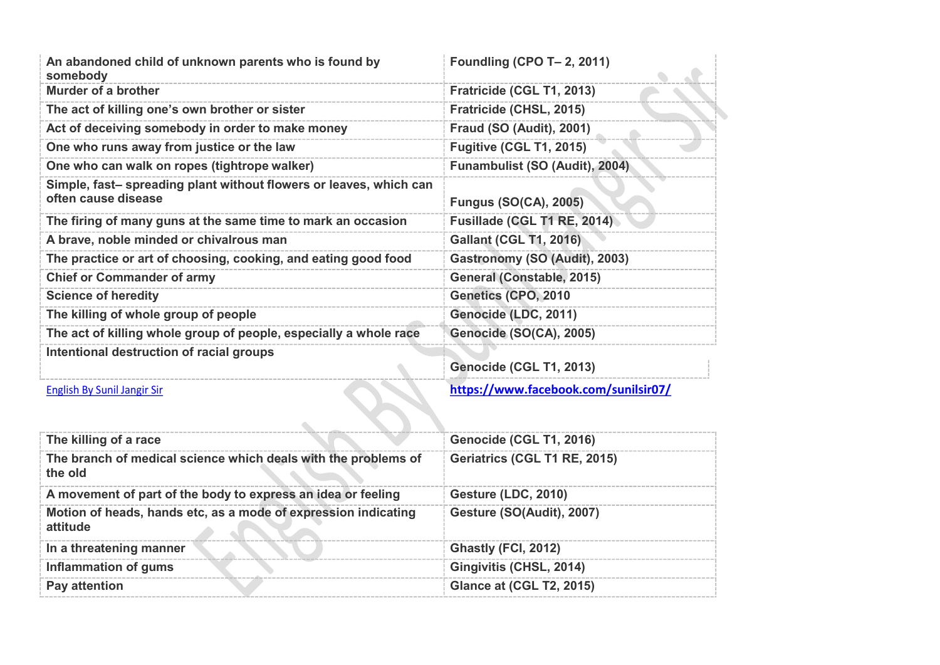| An abandoned child of unknown parents who is found by<br>somebody                         | Foundling (CPO T- 2, 2011)           |
|-------------------------------------------------------------------------------------------|--------------------------------------|
| <b>Murder of a brother</b>                                                                | Fratricide (CGL T1, 2013)            |
| The act of killing one's own brother or sister                                            | Fratricide (CHSL, 2015)              |
| Act of deceiving somebody in order to make money                                          | <b>Fraud (SO (Audit), 2001)</b>      |
| One who runs away from justice or the law                                                 | <b>Fugitive (CGL T1, 2015)</b>       |
| One who can walk on ropes (tightrope walker)                                              | Funambulist (SO (Audit), 2004)       |
| Simple, fast- spreading plant without flowers or leaves, which can<br>often cause disease | <b>Fungus (SO(CA), 2005)</b>         |
| The firing of many guns at the same time to mark an occasion                              | Fusillade (CGL T1 RE, 2014)          |
| A brave, noble minded or chivalrous man                                                   | <b>Gallant (CGL T1, 2016)</b>        |
| The practice or art of choosing, cooking, and eating good food                            | Gastronomy (SO (Audit), 2003)        |
| <b>Chief or Commander of army</b>                                                         | General (Constable, 2015)            |
| <b>Science of heredity</b>                                                                | Genetics (CPO, 2010                  |
| The killing of whole group of people                                                      | Genocide (LDC, 2011)                 |
| The act of killing whole group of people, especially a whole race                         | Genocide (SO(CA), 2005)              |
| Intentional destruction of racial groups                                                  | Genocide (CGL T1, 2013)              |
| <b>English By Sunil Jangir Sir</b>                                                        | https://www.facebook.com/sunilsir07/ |
|                                                                                           |                                      |

| The killing of a race                                                      | Genocide (CGL T1, 2016)         |
|----------------------------------------------------------------------------|---------------------------------|
| The branch of medical science which deals with the problems of<br>the old  | Geriatrics (CGL T1 RE, 2015)    |
| A movement of part of the body to express an idea or feeling               | <b>Gesture (LDC, 2010)</b>      |
| Motion of heads, hands etc, as a mode of expression indicating<br>attitude | Gesture (SO(Audit), 2007)       |
| In a threatening manner                                                    | Ghastly (FCI, 2012)             |
| Inflammation of gums                                                       | Gingivitis (CHSL, 2014)         |
| Pay attention                                                              | <b>Glance at (CGL T2, 2015)</b> |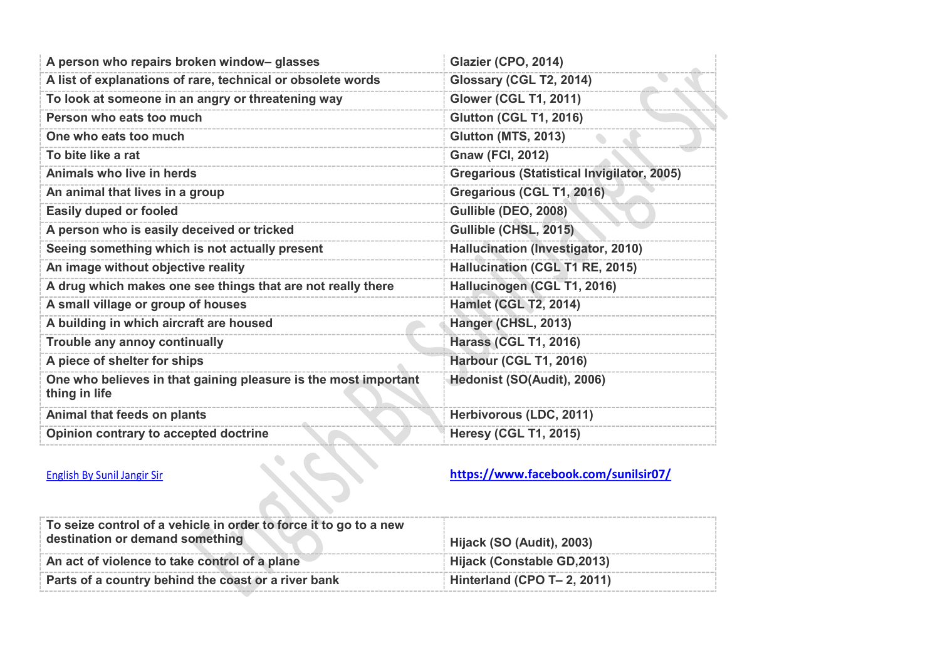| A person who repairs broken window-glasses                                       | Glazier (CPO, 2014)                               |
|----------------------------------------------------------------------------------|---------------------------------------------------|
| A list of explanations of rare, technical or obsolete words                      | Glossary (CGL T2, 2014)                           |
| To look at someone in an angry or threatening way                                | <b>Glower (CGL T1, 2011)</b>                      |
| Person who eats too much                                                         | <b>Glutton (CGL T1, 2016)</b>                     |
| One who eats too much                                                            | <b>Glutton (MTS, 2013)</b>                        |
| To bite like a rat                                                               | <b>Gnaw (FCI, 2012)</b>                           |
| Animals who live in herds                                                        | <b>Gregarious (Statistical Invigilator, 2005)</b> |
| An animal that lives in a group                                                  | Gregarious (CGL T1, 2016)                         |
| <b>Easily duped or fooled</b>                                                    | Gullible (DEO, 2008)                              |
| A person who is easily deceived or tricked                                       | Gullible (CHSL, 2015)                             |
| Seeing something which is not actually present                                   | Hallucination (Investigator, 2010)                |
| An image without objective reality                                               | Hallucination (CGL T1 RE, 2015)                   |
| A drug which makes one see things that are not really there                      | Hallucinogen (CGL T1, 2016)                       |
| A small village or group of houses                                               | <b>Hamlet (CGL T2, 2014)</b>                      |
| A building in which aircraft are housed                                          | Hanger (CHSL, 2013)                               |
| Trouble any annoy continually                                                    | <b>Harass (CGL T1, 2016)</b>                      |
| A piece of shelter for ships                                                     | Harbour (CGL T1, 2016)                            |
| One who believes in that gaining pleasure is the most important<br>thing in life | Hedonist (SO(Audit), 2006)                        |
| Animal that feeds on plants                                                      | Herbivorous (LDC, 2011)                           |
| Opinion contrary to accepted doctrine                                            | <b>Heresy (CGL T1, 2015)</b>                      |

| To seize control of a vehicle in order to force it to go to a new<br>destination or demand something | Hijack (SO (Audit), 2003)   |
|------------------------------------------------------------------------------------------------------|-----------------------------|
| An act of violence to take control of a plane                                                        | Hijack (Constable GD,2013)  |
| Parts of a country behind the coast or a river bank                                                  | Hinterland (CPO T- 2, 2011) |
|                                                                                                      |                             |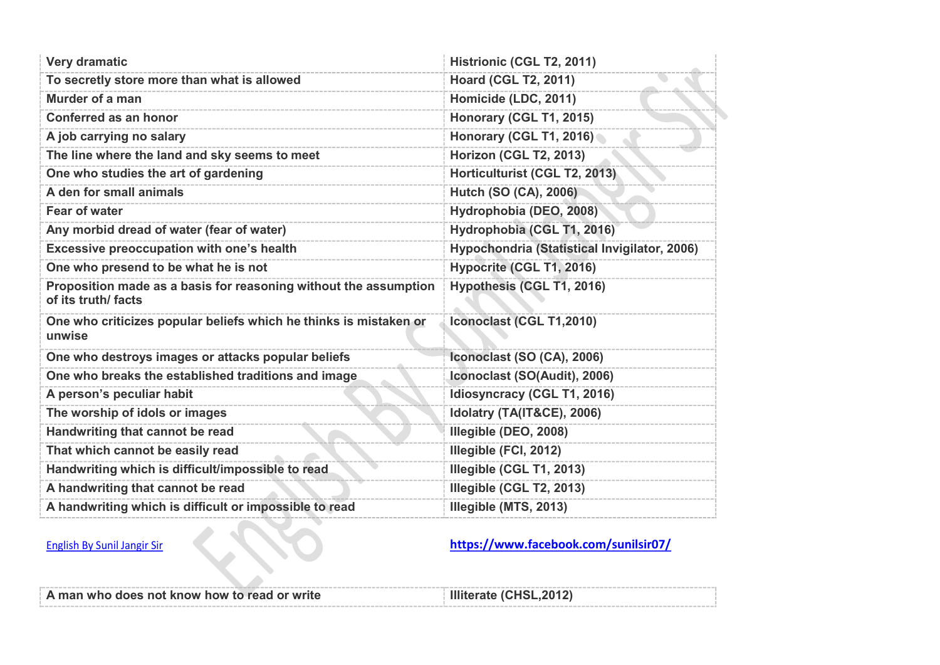| <b>Very dramatic</b>                                                                    | Histrionic (CGL T2, 2011)                    |
|-----------------------------------------------------------------------------------------|----------------------------------------------|
| To secretly store more than what is allowed                                             | <b>Hoard (CGL T2, 2011)</b>                  |
| Murder of a man                                                                         | Homicide (LDC, 2011)                         |
| <b>Conferred as an honor</b>                                                            | Honorary (CGL T1, 2015)                      |
| A job carrying no salary                                                                | Honorary (CGL T1, 2016)                      |
| The line where the land and sky seems to meet                                           | Horizon (CGL T2, 2013)                       |
| One who studies the art of gardening                                                    | Horticulturist (CGL T2, 2013)                |
| A den for small animals                                                                 | <b>Hutch (SO (CA), 2006)</b>                 |
| <b>Fear of water</b>                                                                    | Hydrophobia (DEO, 2008)                      |
| Any morbid dread of water (fear of water)                                               | Hydrophobia (CGL T1, 2016)                   |
| Excessive preoccupation with one's health                                               | Hypochondria (Statistical Invigilator, 2006) |
| One who presend to be what he is not                                                    | Hypocrite (CGL T1, 2016)                     |
| Proposition made as a basis for reasoning without the assumption<br>of its truth/ facts | Hypothesis (CGL T1, 2016)                    |
| One who criticizes popular beliefs which he thinks is mistaken or<br>unwise             | Iconoclast (CGL T1,2010)                     |
| One who destroys images or attacks popular beliefs                                      | Iconoclast (SO (CA), 2006)                   |
| One who breaks the established traditions and image                                     | Iconoclast (SO(Audit), 2006)                 |
| A person's peculiar habit                                                               | Idiosyncracy (CGL T1, 2016)                  |
| The worship of idols or images                                                          | Idolatry (TA(IT&CE), 2006)                   |
| Handwriting that cannot be read                                                         | Illegible (DEO, 2008)                        |
| That which cannot be easily read                                                        | Illegible (FCI, 2012)                        |
| Handwriting which is difficult/impossible to read                                       | Illegible (CGL T1, 2013)                     |
| A handwriting that cannot be read                                                       | Illegible (CGL T2, 2013)                     |
| A handwriting which is difficult or impossible to read                                  | Illegible (MTS, 2013)                        |

| A man who does not know how to read or write | Illiterate (CHSL, 2012) |
|----------------------------------------------|-------------------------|
|                                              |                         |
|                                              |                         |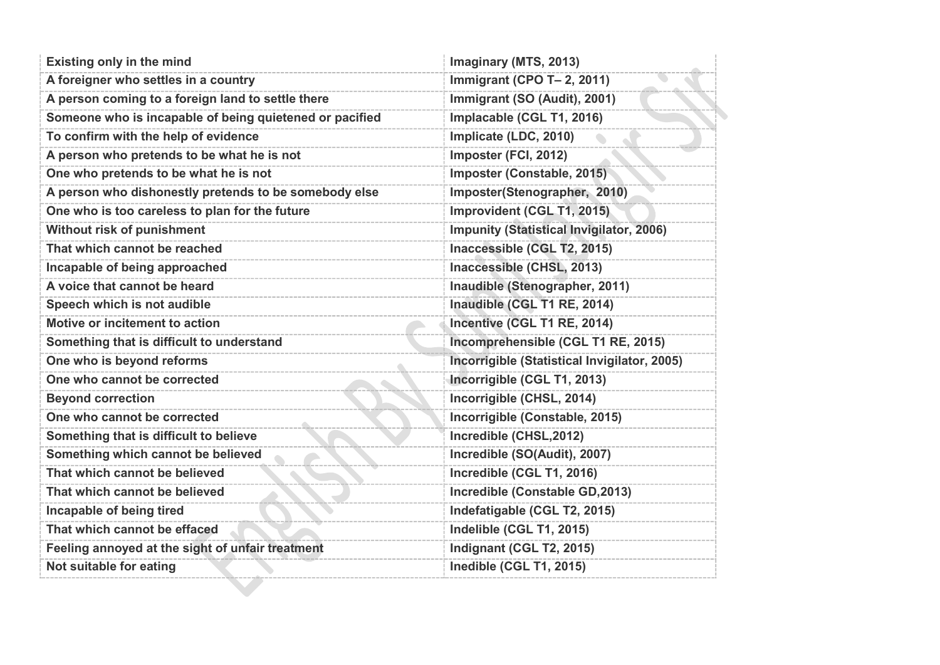| <b>Existing only in the mind</b>                        | Imaginary (MTS, 2013)                           |
|---------------------------------------------------------|-------------------------------------------------|
| A foreigner who settles in a country                    | Immigrant (CPO T- 2, 2011)                      |
| A person coming to a foreign land to settle there       | Immigrant (SO (Audit), 2001)                    |
| Someone who is incapable of being quietened or pacified | Implacable (CGL T1, 2016)                       |
| To confirm with the help of evidence                    | Implicate (LDC, 2010)                           |
| A person who pretends to be what he is not              | Imposter (FCI, 2012)                            |
| One who pretends to be what he is not                   | Imposter (Constable, 2015)                      |
| A person who dishonestly pretends to be somebody else   | Imposter(Stenographer, 2010)                    |
| One who is too careless to plan for the future          | Improvident (CGL T1, 2015)                      |
| Without risk of punishment                              | <b>Impunity (Statistical Invigilator, 2006)</b> |
| That which cannot be reached                            | Inaccessible (CGL T2, 2015)                     |
| Incapable of being approached                           | Inaccessible (CHSL, 2013)                       |
| A voice that cannot be heard                            | Inaudible (Stenographer, 2011)                  |
| Speech which is not audible                             | Inaudible (CGL T1 RE, 2014)                     |
| Motive or incitement to action                          | Incentive (CGL T1 RE, 2014)                     |
| Something that is difficult to understand               | Incomprehensible (CGL T1 RE, 2015)              |
| One who is beyond reforms                               | Incorrigible (Statistical Invigilator, 2005)    |
| One who cannot be corrected                             | Incorrigible (CGL T1, 2013)                     |
| <b>Beyond correction</b>                                | Incorrigible (CHSL, 2014)                       |
| One who cannot be corrected                             | Incorrigible (Constable, 2015)                  |
| Something that is difficult to believe                  | Incredible (CHSL, 2012)                         |
| Something which cannot be believed                      | Incredible (SO(Audit), 2007)                    |
| That which cannot be believed                           | Incredible (CGL T1, 2016)                       |
| That which cannot be believed                           | Incredible (Constable GD, 2013)                 |
| Incapable of being tired                                | Indefatigable (CGL T2, 2015)                    |
| That which cannot be effaced                            | Indelible (CGL T1, 2015)                        |
| Feeling annoyed at the sight of unfair treatment        | Indignant (CGL T2, 2015)                        |
| Not suitable for eating                                 | Inedible (CGL T1, 2015)                         |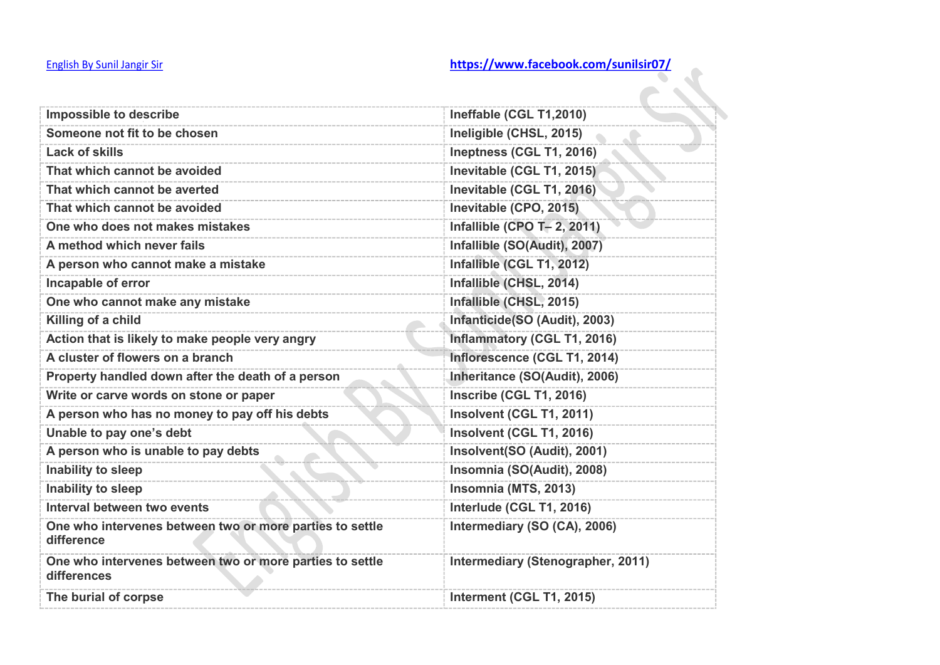| Impossible to describe                                                  | Ineffable (CGL T1,2010)           |
|-------------------------------------------------------------------------|-----------------------------------|
| Someone not fit to be chosen                                            | Ineligible (CHSL, 2015)           |
| <b>Lack of skills</b>                                                   | Ineptness (CGL T1, 2016)          |
| That which cannot be avoided                                            | Inevitable (CGL T1, 2015)         |
| That which cannot be averted                                            | Inevitable (CGL T1, 2016)         |
| That which cannot be avoided                                            | Inevitable (CPO, 2015)            |
| One who does not makes mistakes                                         | Infallible (CPO T- 2, 2011)       |
| A method which never fails                                              | Infallible (SO(Audit), 2007)      |
| A person who cannot make a mistake                                      | Infallible (CGL T1, 2012)         |
| Incapable of error                                                      | Infallible (CHSL, 2014)           |
| One who cannot make any mistake                                         | Infallible (CHSL, 2015)           |
| Killing of a child                                                      | Infanticide(SO (Audit), 2003)     |
| Action that is likely to make people very angry                         | Inflammatory (CGL T1, 2016)       |
| A cluster of flowers on a branch                                        | Inflorescence (CGL T1, 2014)      |
| Property handled down after the death of a person                       | Inheritance (SO(Audit), 2006)     |
| Write or carve words on stone or paper                                  | <b>Inscribe (CGL T1, 2016)</b>    |
| A person who has no money to pay off his debts                          | Insolvent (CGL T1, 2011)          |
| Unable to pay one's debt                                                | Insolvent (CGL T1, 2016)          |
| A person who is unable to pay debts                                     | Insolvent(SO (Audit), 2001)       |
| Inability to sleep                                                      | Insomnia (SO(Audit), 2008)        |
| <b>Inability to sleep</b>                                               | Insomnia (MTS, 2013)              |
| Interval between two events                                             | Interlude (CGL T1, 2016)          |
| One who intervenes between two or more parties to settle<br>difference  | Intermediary (SO (CA), 2006)      |
| One who intervenes between two or more parties to settle<br>differences | Intermediary (Stenographer, 2011) |
| The burial of corpse                                                    | Interment (CGL T1, 2015)          |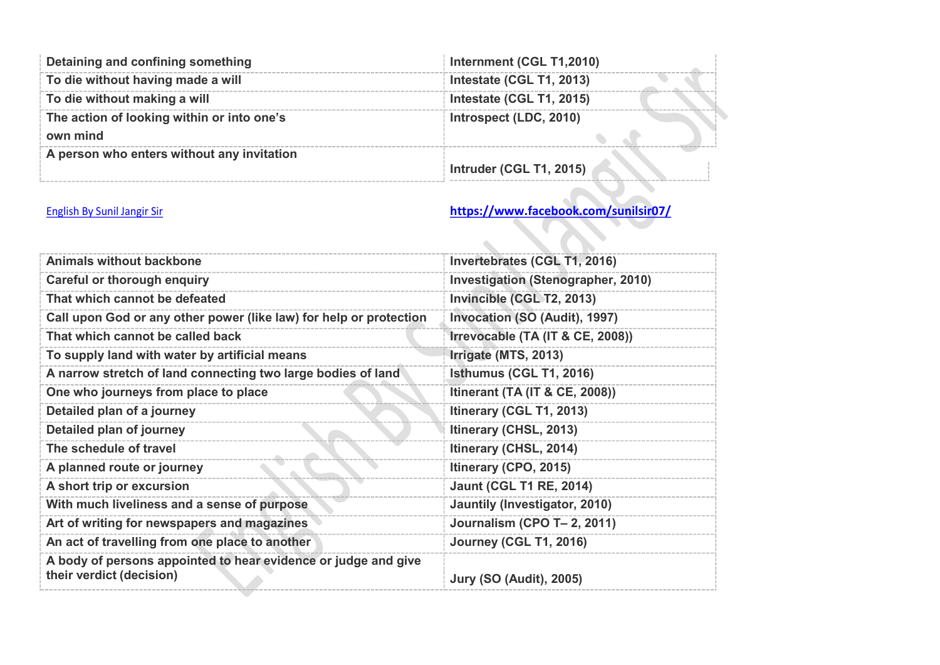| Detaining and confining something          | Internment (CGL T1,2010) |
|--------------------------------------------|--------------------------|
| To die without having made a will          | Intestate (CGL T1, 2013) |
| To die without making a will               | Intestate (CGL T1, 2015) |
| The action of looking within or into one's | Introspect (LDC, 2010)   |
| own mind                                   |                          |
| A person who enters without any invitation |                          |
|                                            | Intruder (CGL T1, 2015)  |

 $\mathcal{L}$ 

| <b>Animals without backbone</b>                                                            | Invertebrates (CGL T1, 2016)              |
|--------------------------------------------------------------------------------------------|-------------------------------------------|
| <b>Careful or thorough enquiry</b>                                                         | <b>Investigation (Stenographer, 2010)</b> |
| That which cannot be defeated                                                              | Invincible (CGL T2, 2013)                 |
| Call upon God or any other power (like law) for help or protection                         | Invocation (SO (Audit), 1997)             |
| That which cannot be called back                                                           | Irrevocable (TA (IT & CE, 2008))          |
| To supply land with water by artificial means                                              | Irrigate (MTS, 2013)                      |
| A narrow stretch of land connecting two large bodies of land                               | Isthumus (CGL T1, 2016)                   |
| One who journeys from place to place                                                       | Itinerant (TA (IT & CE, 2008))            |
| Detailed plan of a journey                                                                 | Itinerary (CGL T1, 2013)                  |
| Detailed plan of journey                                                                   | Itinerary (CHSL, 2013)                    |
| The schedule of travel                                                                     | Itinerary (CHSL, 2014)                    |
| A planned route or journey                                                                 | Itinerary (CPO, 2015)                     |
| A short trip or excursion                                                                  | <b>Jaunt (CGL T1 RE, 2014)</b>            |
| With much liveliness and a sense of purpose                                                | Jauntily (Investigator, 2010)             |
| Art of writing for newspapers and magazines                                                | Journalism (CPO T- 2, 2011)               |
| An act of travelling from one place to another                                             | <b>Journey (CGL T1, 2016)</b>             |
| A body of persons appointed to hear evidence or judge and give<br>their verdict (decision) | <b>Jury (SO (Audit), 2005)</b>            |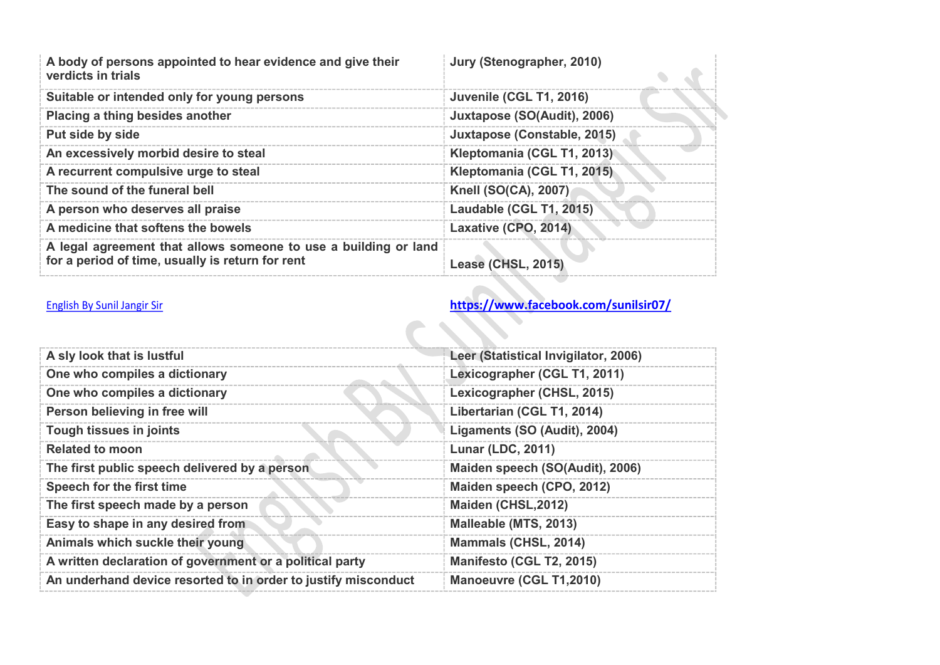| A body of persons appointed to hear evidence and give their<br>verdicts in trials                                   | Jury (Stenographer, 2010)   |
|---------------------------------------------------------------------------------------------------------------------|-----------------------------|
| Suitable or intended only for young persons                                                                         | Juvenile (CGL T1, 2016)     |
| Placing a thing besides another                                                                                     | Juxtapose (SO(Audit), 2006) |
| Put side by side                                                                                                    | Juxtapose (Constable, 2015) |
| An excessively morbid desire to steal                                                                               | Kleptomania (CGL T1, 2013)  |
| A recurrent compulsive urge to steal                                                                                | Kleptomania (CGL T1, 2015)  |
| The sound of the funeral bell                                                                                       | <b>Knell (SO(CA), 2007)</b> |
| A person who deserves all praise                                                                                    | Laudable (CGL T1, 2015)     |
| A medicine that softens the bowels                                                                                  | Laxative (CPO, 2014)        |
| A legal agreement that allows someone to use a building or land<br>for a period of time, usually is return for rent | Lease (CHSL, 2015)          |

| A sly look that is lustful                                     | Leer (Statistical Invigilator, 2006) |
|----------------------------------------------------------------|--------------------------------------|
| One who compiles a dictionary                                  | Lexicographer (CGL T1, 2011)         |
| One who compiles a dictionary                                  | Lexicographer (CHSL, 2015)           |
| Person believing in free will                                  | Libertarian (CGL T1, 2014)           |
| Tough tissues in joints                                        | Ligaments (SO (Audit), 2004)         |
| <b>Related to moon</b>                                         | <b>Lunar (LDC, 2011)</b>             |
| The first public speech delivered by a person                  | Maiden speech (SO(Audit), 2006)      |
| Speech for the first time                                      | Maiden speech (CPO, 2012)            |
| The first speech made by a person                              | Maiden (CHSL, 2012)                  |
| Easy to shape in any desired from                              | Malleable (MTS, 2013)                |
| Animals which suckle their young                               | <b>Mammals (CHSL, 2014)</b>          |
| A written declaration of government or a political party       | Manifesto (CGL T2, 2015)             |
| An underhand device resorted to in order to justify misconduct | Manoeuvre (CGL T1,2010)              |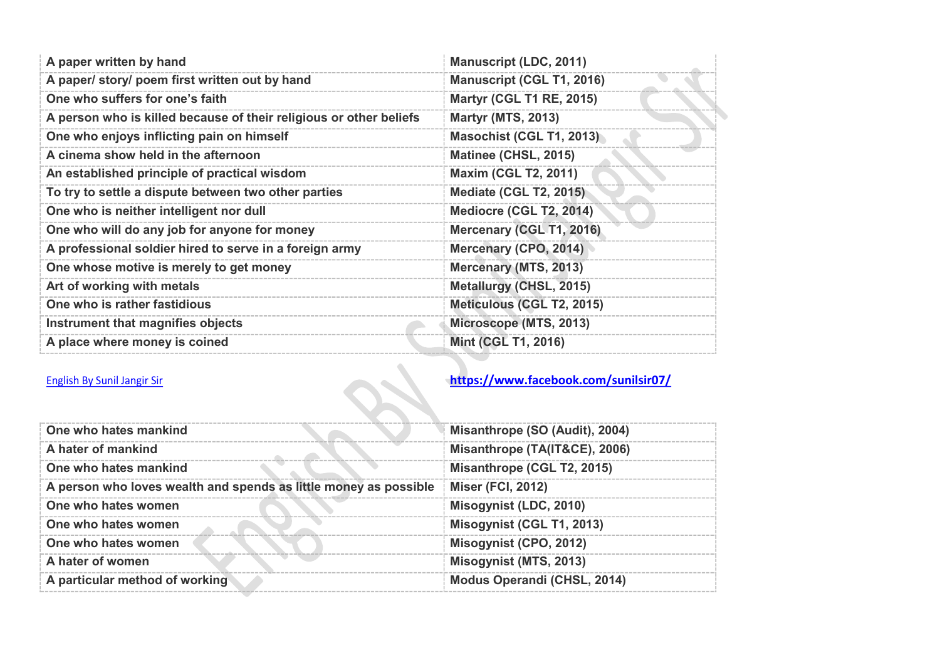| A paper written by hand                                            | <b>Manuscript (LDC, 2011)</b>    |
|--------------------------------------------------------------------|----------------------------------|
| A paper/ story/ poem first written out by hand                     | <b>Manuscript (CGL T1, 2016)</b> |
| One who suffers for one's faith                                    | <b>Martyr (CGL T1 RE, 2015)</b>  |
| A person who is killed because of their religious or other beliefs | <b>Martyr (MTS, 2013)</b>        |
| One who enjoys inflicting pain on himself                          | <b>Masochist (CGL T1, 2013)</b>  |
| A cinema show held in the afternoon                                | Matinee (CHSL, 2015)             |
| An established principle of practical wisdom                       | <b>Maxim (CGL T2, 2011)</b>      |
| To try to settle a dispute between two other parties               | <b>Mediate (CGL T2, 2015)</b>    |
| One who is neither intelligent nor dull                            | Mediocre (CGL T2, 2014)          |
| One who will do any job for anyone for money                       | Mercenary (CGL T1, 2016)         |
| A professional soldier hired to serve in a foreign army            | Mercenary (CPO, 2014)            |
| One whose motive is merely to get money                            | Mercenary (MTS, 2013)            |
| Art of working with metals                                         | Metallurgy (CHSL, 2015)          |
| One who is rather fastidious                                       | Meticulous (CGL T2, 2015)        |
| Instrument that magnifies objects                                  | Microscope (MTS, 2013)           |
| A place where money is coined                                      | <b>Mint (CGL T1, 2016)</b>       |

| One who hates mankind                                            | Misanthrope (SO (Audit), 2004)     |
|------------------------------------------------------------------|------------------------------------|
| A hater of mankind                                               | Misanthrope (TA(IT&CE), 2006)      |
| One who hates mankind                                            | Misanthrope (CGL T2, 2015)         |
| A person who loves wealth and spends as little money as possible | <b>Miser (FCI, 2012)</b>           |
| One who hates women                                              | Misogynist (LDC, 2010)             |
| One who hates women                                              | Misogynist (CGL T1, 2013)          |
| One who hates women                                              | Misogynist (CPO, 2012)             |
| A hater of women                                                 | Misogynist (MTS, 2013)             |
| A particular method of working                                   | <b>Modus Operandi (CHSL, 2014)</b> |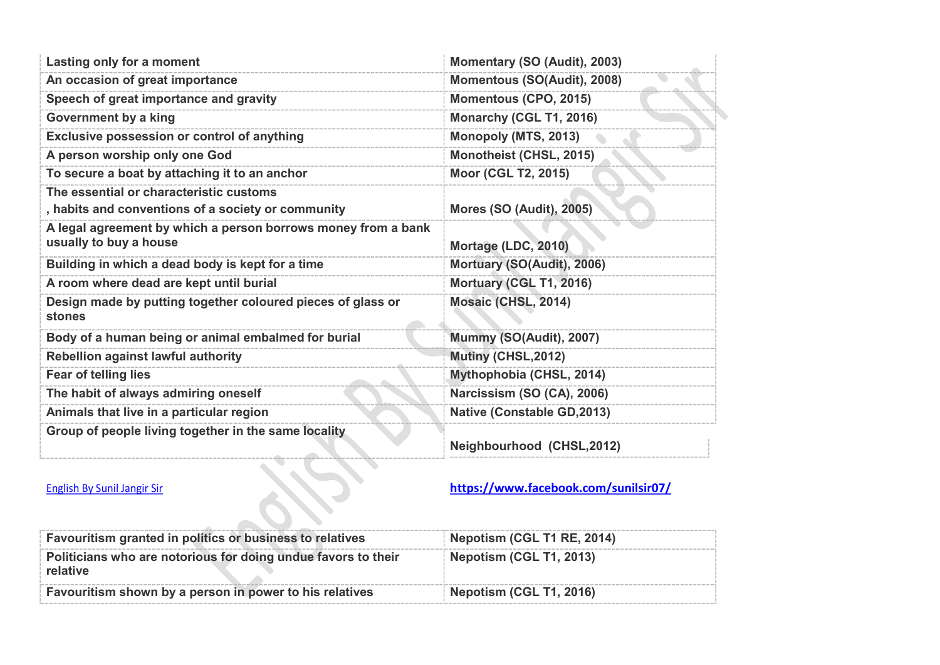| Lasting only for a moment                                                                     | Momentary (SO (Audit), 2003)       |
|-----------------------------------------------------------------------------------------------|------------------------------------|
| An occasion of great importance                                                               | Momentous (SO(Audit), 2008)        |
| Speech of great importance and gravity                                                        | Momentous (CPO, 2015)              |
| <b>Government by a king</b>                                                                   | Monarchy (CGL T1, 2016)            |
| Exclusive possession or control of anything                                                   | Monopoly (MTS, 2013)               |
| A person worship only one God                                                                 | Monotheist (CHSL, 2015)            |
| To secure a boat by attaching it to an anchor                                                 | Moor (CGL T2, 2015)                |
| The essential or characteristic customs<br>, habits and conventions of a society or community | <b>Mores (SO (Audit), 2005)</b>    |
| A legal agreement by which a person borrows money from a bank<br>usually to buy a house       | Mortage (LDC, 2010)                |
| Building in which a dead body is kept for a time                                              | Mortuary (SO(Audit), 2006)         |
| A room where dead are kept until burial                                                       | Mortuary (CGL T1, 2016)            |
| Design made by putting together coloured pieces of glass or<br><b>stones</b>                  | Mosaic (CHSL, 2014)                |
| Body of a human being or animal embalmed for burial                                           | Mummy (SO(Audit), 2007)            |
| <b>Rebellion against lawful authority</b>                                                     | Mutiny (CHSL, 2012)                |
| Fear of telling lies                                                                          | Mythophobia (CHSL, 2014)           |
| The habit of always admiring oneself                                                          | Narcissism (SO (CA), 2006)         |
| Animals that live in a particular region                                                      | <b>Native (Constable GD, 2013)</b> |
| Group of people living together in the same locality                                          | Neighbourhood (CHSL, 2012)         |

| Favouritism granted in politics or business to relatives                  | Nepotism (CGL T1 RE, 2014) |
|---------------------------------------------------------------------------|----------------------------|
| Politicians who are notorious for doing undue favors to their<br>relative | Nepotism (CGL T1, 2013)    |
| Favouritism shown by a person in power to his relatives                   | Nepotism (CGL T1, 2016)    |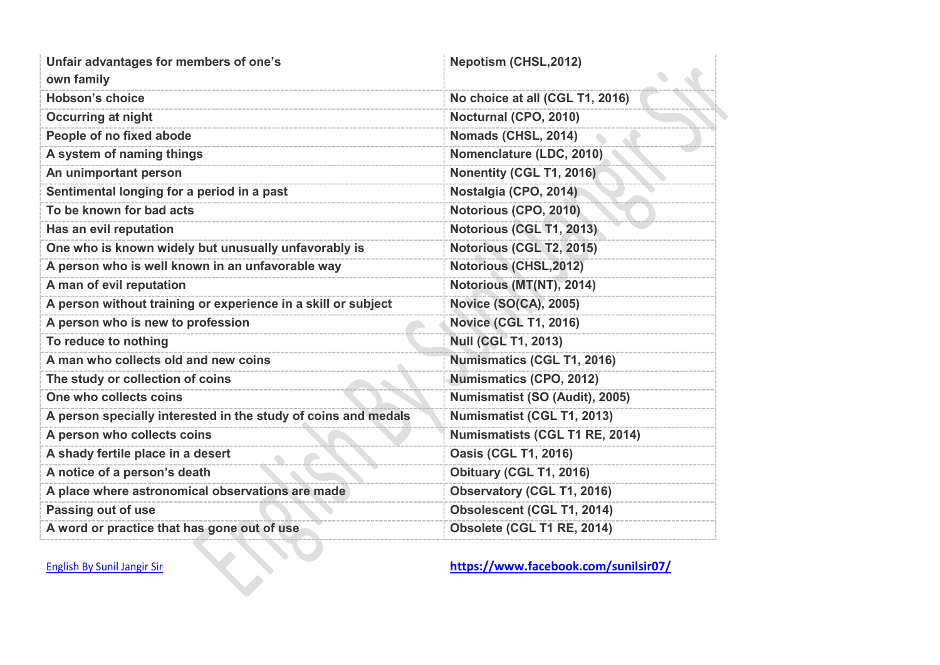| Unfair advantages for members of one's<br>own family           | <b>Nepotism (CHSL,2012)</b>       |
|----------------------------------------------------------------|-----------------------------------|
| <b>Hobson's choice</b>                                         | No choice at all (CGL T1, 2016)   |
| <b>Occurring at night</b>                                      | Nocturnal (CPO, 2010)             |
| People of no fixed abode                                       | Nomads (CHSL, 2014)               |
| A system of naming things                                      | Nomenclature (LDC, 2010)          |
| An unimportant person                                          | Nonentity (CGL T1, 2016)          |
| Sentimental longing for a period in a past                     | Nostalgia (CPO, 2014)             |
| To be known for bad acts                                       | Notorious (CPO, 2010)             |
| Has an evil reputation                                         | Notorious (CGL T1, 2013)          |
| One who is known widely but unusually unfavorably is           | Notorious (CGL T2, 2015)          |
| A person who is well known in an unfavorable way               | <b>Notorious (CHSL, 2012)</b>     |
| A man of evil reputation                                       | Notorious (MT(NT), 2014)          |
| A person without training or experience in a skill or subject  | <b>Novice (SO(CA), 2005)</b>      |
| A person who is new to profession                              | <b>Novice (CGL T1, 2016)</b>      |
| To reduce to nothing                                           | <b>Null (CGL T1, 2013)</b>        |
| A man who collects old and new coins                           | <b>Numismatics (CGL T1, 2016)</b> |
| The study or collection of coins                               | <b>Numismatics (CPO, 2012)</b>    |
| One who collects coins                                         | Numismatist (SO (Audit), 2005)    |
| A person specially interested in the study of coins and medals | Numismatist (CGL T1, 2013)        |
| A person who collects coins                                    | Numismatists (CGL T1 RE, 2014)    |
| A shady fertile place in a desert                              | <b>Oasis (CGL T1, 2016)</b>       |
| A notice of a person's death                                   | Obituary (CGL T1, 2016)           |
| A place where astronomical observations are made               | <b>Observatory (CGL T1, 2016)</b> |
| Passing out of use                                             | Obsolescent (CGL T1, 2014)        |
| A word or practice that has gone out of use                    | Obsolete (CGL T1 RE, 2014)        |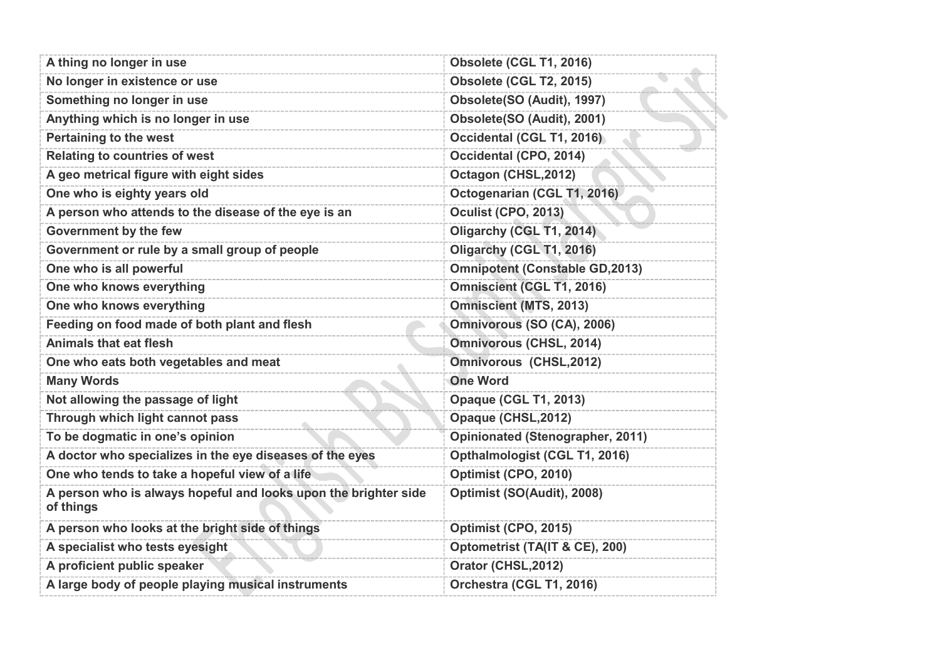| A thing no longer in use                                                     | Obsolete (CGL T1, 2016)               |
|------------------------------------------------------------------------------|---------------------------------------|
| No longer in existence or use                                                | Obsolete (CGL T2, 2015)               |
| Something no longer in use                                                   | Obsolete(SO (Audit), 1997)            |
| Anything which is no longer in use                                           | Obsolete(SO (Audit), 2001)            |
| <b>Pertaining to the west</b>                                                | Occidental (CGL T1, 2016)             |
| <b>Relating to countries of west</b>                                         | Occidental (CPO, 2014)                |
| A geo metrical figure with eight sides                                       | Octagon (CHSL, 2012)                  |
| One who is eighty years old                                                  | Octogenarian (CGL T1, 2016)           |
| A person who attends to the disease of the eye is an                         | <b>Oculist (CPO, 2013)</b>            |
| <b>Government by the few</b>                                                 | Oligarchy (CGL T1, 2014)              |
| Government or rule by a small group of people                                | Oligarchy (CGL T1, 2016)              |
| One who is all powerful                                                      | <b>Omnipotent (Constable GD,2013)</b> |
| One who knows everything                                                     | <b>Omniscient (CGL T1, 2016)</b>      |
| One who knows everything                                                     | <b>Omniscient (MTS, 2013)</b>         |
| Feeding on food made of both plant and flesh                                 | Omnivorous (SO (CA), 2006)            |
| <b>Animals that eat flesh</b>                                                | <b>Omnivorous (CHSL, 2014)</b>        |
| One who eats both vegetables and meat                                        | <b>Omnivorous (CHSL,2012)</b>         |
| <b>Many Words</b>                                                            | <b>One Word</b>                       |
| Not allowing the passage of light                                            | <b>Opaque (CGL T1, 2013)</b>          |
| Through which light cannot pass                                              | Opaque (CHSL, 2012)                   |
| To be dogmatic in one's opinion                                              | Opinionated (Stenographer, 2011)      |
| A doctor who specializes in the eye diseases of the eyes                     | Opthalmologist (CGL T1, 2016)         |
| One who tends to take a hopeful view of a life                               | Optimist (CPO, 2010)                  |
| A person who is always hopeful and looks upon the brighter side<br>of things | Optimist (SO(Audit), 2008)            |
| A person who looks at the bright side of things                              | Optimist (CPO, 2015)                  |
| A specialist who tests eyesight                                              | Optometrist (TA(IT & CE), 200)        |
| A proficient public speaker                                                  | Orator (CHSL, 2012)                   |
| A large body of people playing musical instruments                           | Orchestra (CGL T1, 2016)              |
|                                                                              |                                       |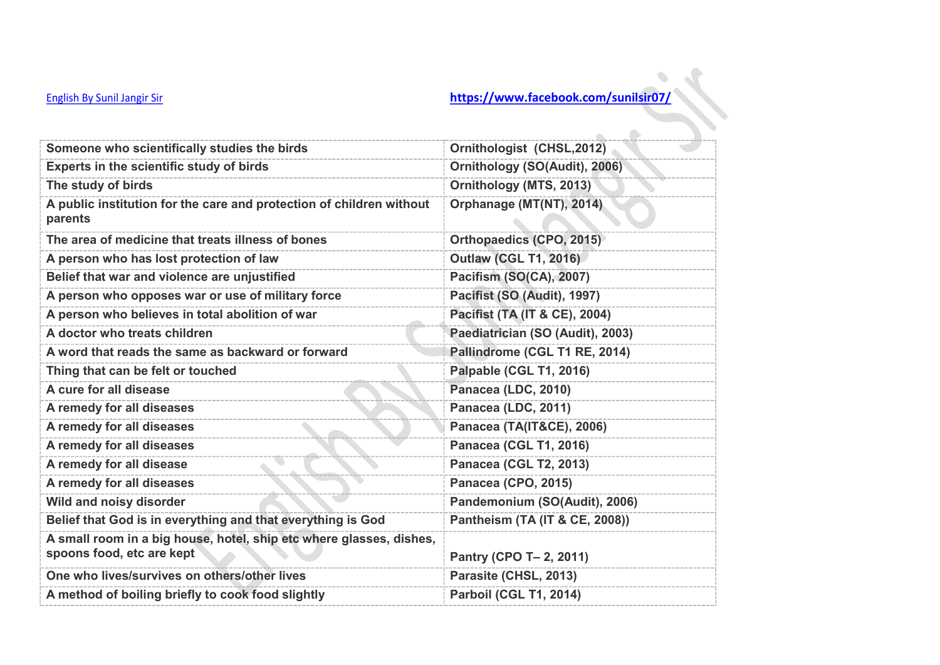| Someone who scientifically studies the birds                                                     | Ornithologist (CHSL,2012)        |
|--------------------------------------------------------------------------------------------------|----------------------------------|
| Experts in the scientific study of birds                                                         | Ornithology (SO(Audit), 2006)    |
| The study of birds                                                                               | Ornithology (MTS, 2013)          |
| A public institution for the care and protection of children without<br>parents                  | Orphanage (MT(NT), 2014)         |
| The area of medicine that treats illness of bones                                                | Orthopaedics (CPO, 2015)         |
| A person who has lost protection of law                                                          | <b>Outlaw (CGL T1, 2016)</b>     |
| Belief that war and violence are unjustified                                                     | Pacifism (SO(CA), 2007)          |
| A person who opposes war or use of military force                                                | Pacifist (SO (Audit), 1997)      |
| A person who believes in total abolition of war                                                  | Pacifist (TA (IT & CE), 2004)    |
| A doctor who treats children                                                                     | Paediatrician (SO (Audit), 2003) |
| A word that reads the same as backward or forward                                                | Pallindrome (CGL T1 RE, 2014)    |
| Thing that can be felt or touched                                                                | Palpable (CGL T1, 2016)          |
| A cure for all disease                                                                           | Panacea (LDC, 2010)              |
| A remedy for all diseases                                                                        | Panacea (LDC, 2011)              |
| A remedy for all diseases                                                                        | Panacea (TA(IT&CE), 2006)        |
| A remedy for all diseases                                                                        | <b>Panacea (CGL T1, 2016)</b>    |
| A remedy for all disease                                                                         | <b>Panacea (CGL T2, 2013)</b>    |
| A remedy for all diseases                                                                        | Panacea (CPO, 2015)              |
| Wild and noisy disorder                                                                          | Pandemonium (SO(Audit), 2006)    |
| Belief that God is in everything and that everything is God                                      | Pantheism (TA (IT & CE, 2008))   |
| A small room in a big house, hotel, ship etc where glasses, dishes,<br>spoons food, etc are kept | Pantry (CPO T- 2, 2011)          |
| One who lives/survives on others/other lives                                                     | Parasite (CHSL, 2013)            |
| A method of boiling briefly to cook food slightly                                                | Parboil (CGL T1, 2014)           |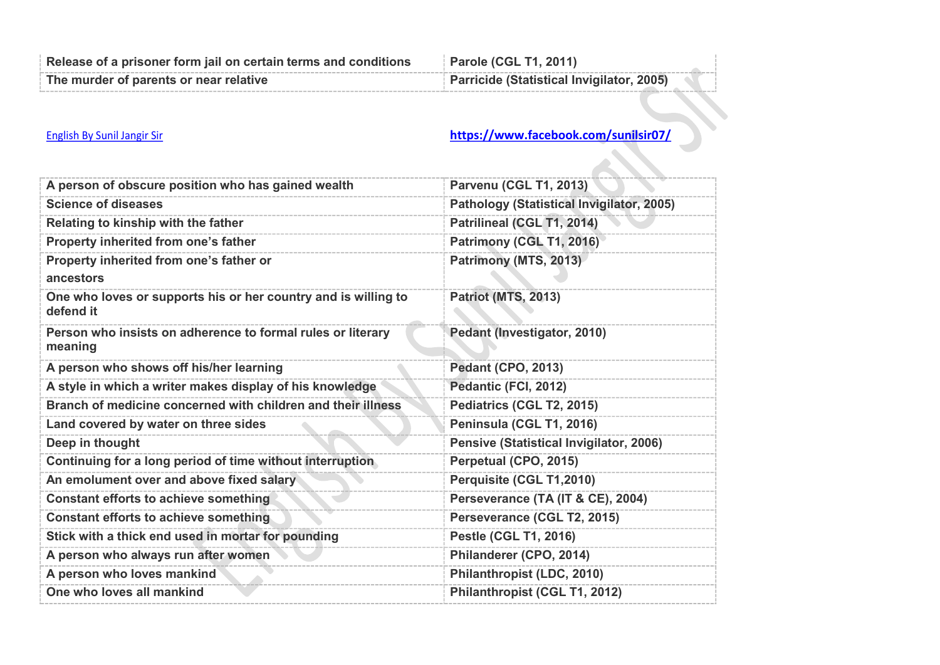| Release of a prisoner form jail on certain terms and conditions | <b>Parole (CGL T1, 2011)</b>              |
|-----------------------------------------------------------------|-------------------------------------------|
| The murder of parents or near relative                          | Parricide (Statistical Invigilator, 2005) |

| A person of obscure position who has gained wealth                          | <b>Parvenu (CGL T1, 2013)</b>             |
|-----------------------------------------------------------------------------|-------------------------------------------|
| <b>Science of diseases</b>                                                  | Pathology (Statistical Invigilator, 2005) |
| Relating to kinship with the father                                         | Patrilineal (CGL T1, 2014)                |
| Property inherited from one's father                                        | Patrimony (CGL T1, 2016)                  |
| Property inherited from one's father or<br>ancestors                        | Patrimony (MTS, 2013)                     |
| One who loves or supports his or her country and is willing to<br>defend it | <b>Patriot (MTS, 2013)</b>                |
| Person who insists on adherence to formal rules or literary<br>meaning      | Pedant (Investigator, 2010)               |
| A person who shows off his/her learning                                     | <b>Pedant (CPO, 2013)</b>                 |
| A style in which a writer makes display of his knowledge                    | Pedantic (FCI, 2012)                      |
| Branch of medicine concerned with children and their illness                | Pediatrics (CGL T2, 2015)                 |
| Land covered by water on three sides                                        | Peninsula (CGL T1, 2016)                  |
| Deep in thought                                                             | Pensive (Statistical Invigilator, 2006)   |
| Continuing for a long period of time without interruption                   | Perpetual (CPO, 2015)                     |
| An emolument over and above fixed salary                                    | Perquisite (CGL T1,2010)                  |
| <b>Constant efforts to achieve something</b>                                | Perseverance (TA (IT & CE), 2004)         |
| <b>Constant efforts to achieve something</b>                                | Perseverance (CGL T2, 2015)               |
| Stick with a thick end used in mortar for pounding                          | <b>Pestle (CGL T1, 2016)</b>              |
| A person who always run after women                                         | Philanderer (CPO, 2014)                   |
| A person who loves mankind                                                  | Philanthropist (LDC, 2010)                |
| One who loves all mankind                                                   | Philanthropist (CGL T1, 2012)             |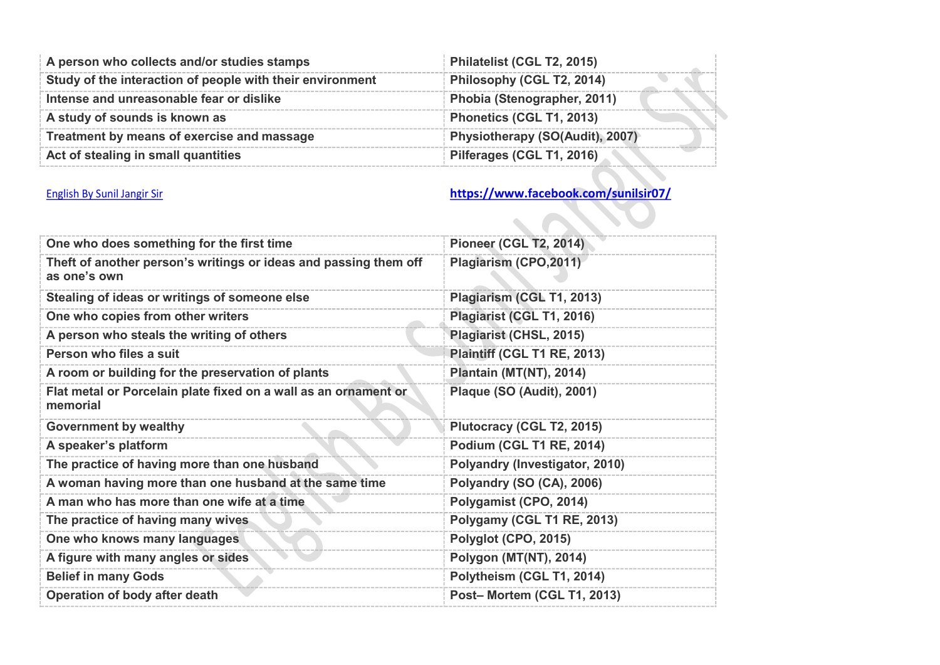| A person who collects and/or studies stamps               | Philatelist (CGL T2, 2015)      |
|-----------------------------------------------------------|---------------------------------|
| Study of the interaction of people with their environment | Philosophy (CGL T2, 2014)       |
| Intense and unreasonable fear or dislike                  | Phobia (Stenographer, 2011)     |
| A study of sounds is known as                             | Phonetics (CGL T1, 2013)        |
| Treatment by means of exercise and massage                | Physiotherapy (SO(Audit), 2007) |
| Act of stealing in small quantities                       | Pilferages (CGL T1, 2016)       |

 $\mathbf{Q}$ 

| One who does something for the first time                                        | <b>Pioneer (CGL T2, 2014)</b>  |
|----------------------------------------------------------------------------------|--------------------------------|
| Theft of another person's writings or ideas and passing them off<br>as one's own | Plagiarism (CPO, 2011)         |
| Stealing of ideas or writings of someone else                                    | Plagiarism (CGL T1, 2013)      |
| One who copies from other writers                                                | Plagiarist (CGL T1, 2016)      |
| A person who steals the writing of others                                        | Plagiarist (CHSL, 2015)        |
| Person who files a suit                                                          | Plaintiff (CGL T1 RE, 2013)    |
| A room or building for the preservation of plants                                | Plantain (MT(NT), 2014)        |
| Flat metal or Porcelain plate fixed on a wall as an ornament or<br>memorial      | Plaque (SO (Audit), 2001)      |
| <b>Government by wealthy</b>                                                     | Plutocracy (CGL T2, 2015)      |
| A speaker's platform                                                             | Podium (CGL T1 RE, 2014)       |
| The practice of having more than one husband                                     | Polyandry (Investigator, 2010) |
| A woman having more than one husband at the same time                            | Polyandry (SO (CA), 2006)      |
| A man who has more than one wife at a time                                       | Polygamist (CPO, 2014)         |
| The practice of having many wives                                                | Polygamy (CGL T1 RE, 2013)     |
| One who knows many languages                                                     | Polyglot (CPO, 2015)           |
| A figure with many angles or sides                                               | Polygon (MT(NT), 2014)         |
| <b>Belief in many Gods</b>                                                       | Polytheism (CGL T1, 2014)      |
| Operation of body after death                                                    | Post-Mortem (CGL T1, 2013)     |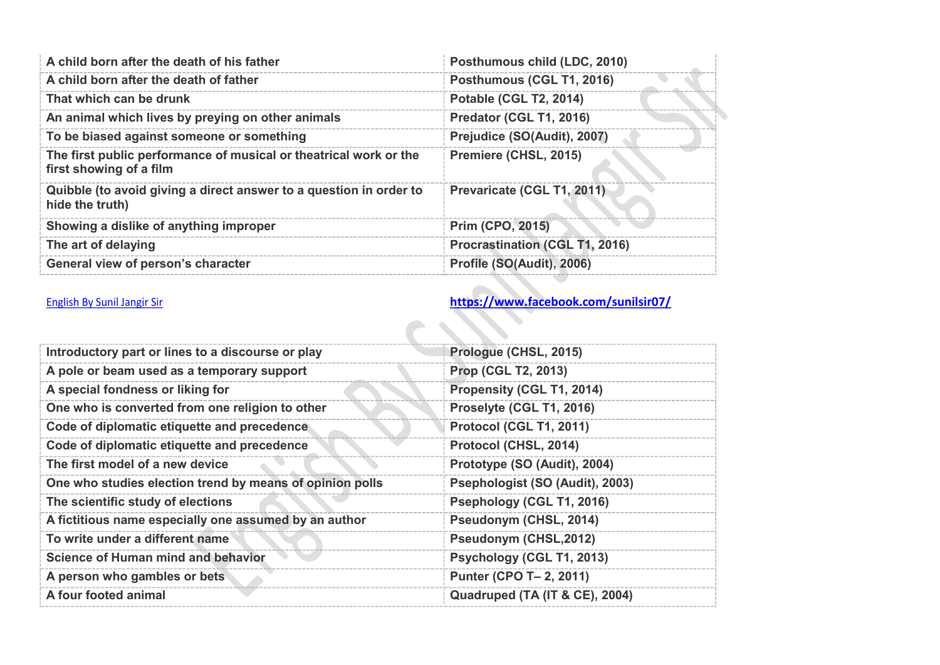| Posthumous child (LDC, 2010)          |
|---------------------------------------|
| Posthumous (CGL T1, 2016)             |
| <b>Potable (CGL T2, 2014)</b>         |
| Predator (CGL T1, 2016)               |
| Prejudice (SO(Audit), 2007)           |
| Premiere (CHSL, 2015)                 |
| Prevaricate (CGL T1, 2011)            |
| <b>Prim (CPO, 2015)</b>               |
| <b>Procrastination (CGL T1, 2016)</b> |
| Profile (SO(Audit), 2006)             |
|                                       |

| Introductory part or lines to a discourse or play        | Prologue (CHSL, 2015)           |
|----------------------------------------------------------|---------------------------------|
| A pole or beam used as a temporary support               | <b>Prop (CGL T2, 2013)</b>      |
| A special fondness or liking for                         | Propensity (CGL T1, 2014)       |
| One who is converted from one religion to other          | Proselyte (CGL T1, 2016)        |
| Code of diplomatic etiquette and precedence              | Protocol (CGL T1, 2011)         |
| Code of diplomatic etiquette and precedence              | Protocol (CHSL, 2014)           |
| The first model of a new device                          | Prototype (SO (Audit), 2004)    |
| One who studies election trend by means of opinion polls | Psephologist (SO (Audit), 2003) |
| The scientific study of elections                        | Psephology (CGL T1, 2016)       |
| A fictitious name especially one assumed by an author    | Pseudonym (CHSL, 2014)          |
| To write under a different name                          | Pseudonym (CHSL, 2012)          |
| Science of Human mind and behavior                       | Psychology (CGL T1, 2013)       |
| A person who gambles or bets                             | Punter (CPO T- 2, 2011)         |
| A four footed animal                                     | Quadruped (TA (IT & CE), 2004)  |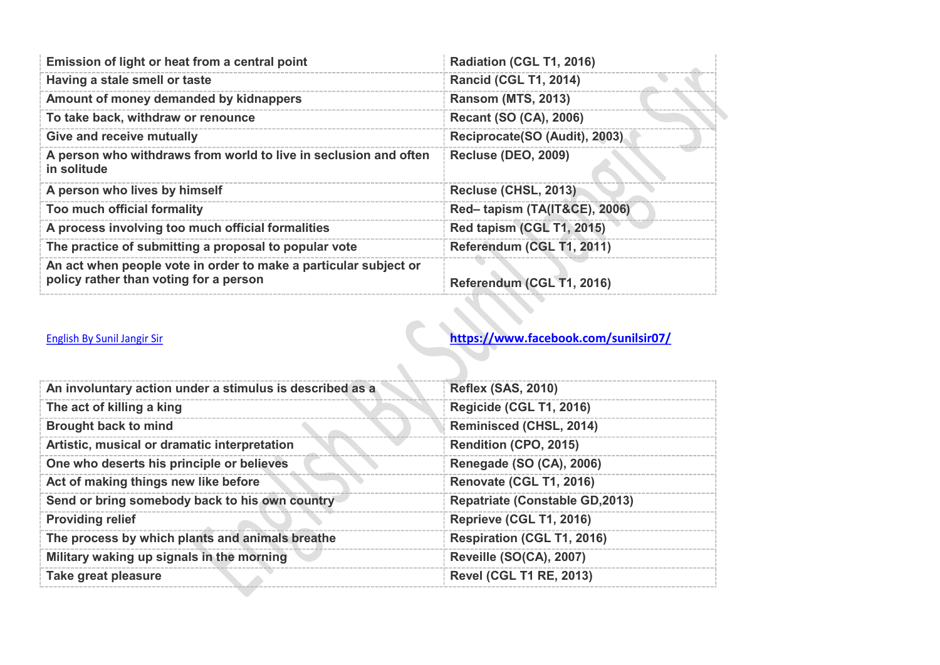| Emission of light or heat from a central point                                                             | Radiation (CGL T1, 2016)      |
|------------------------------------------------------------------------------------------------------------|-------------------------------|
| Having a stale smell or taste                                                                              | <b>Rancid (CGL T1, 2014)</b>  |
| Amount of money demanded by kidnappers                                                                     | <b>Ransom (MTS, 2013)</b>     |
| To take back, withdraw or renounce                                                                         | <b>Recant (SO (CA), 2006)</b> |
| <b>Give and receive mutually</b>                                                                           | Reciprocate(SO (Audit), 2003) |
| A person who withdraws from world to live in seclusion and often<br>in solitude                            | <b>Recluse (DEO, 2009)</b>    |
| A person who lives by himself                                                                              | Recluse (CHSL, 2013)          |
| Too much official formality                                                                                | Red-tapism (TA(IT&CE), 2006)  |
| A process involving too much official formalities                                                          | Red tapism (CGL T1, 2015)     |
| The practice of submitting a proposal to popular vote                                                      | Referendum (CGL T1, 2011)     |
| An act when people vote in order to make a particular subject or<br>policy rather than voting for a person | Referendum (CGL T1, 2016)     |

| An involuntary action under a stimulus is described as a | <b>Reflex (SAS, 2010)</b>             |
|----------------------------------------------------------|---------------------------------------|
| The act of killing a king                                | Regicide (CGL T1, 2016)               |
| <b>Brought back to mind</b>                              | Reminisced (CHSL, 2014)               |
| Artistic, musical or dramatic interpretation             | <b>Rendition (CPO, 2015)</b>          |
| One who deserts his principle or believes                | Renegade (SO (CA), 2006)              |
| Act of making things new like before                     | Renovate (CGL T1, 2016)               |
| Send or bring somebody back to his own country           | <b>Repatriate (Constable GD,2013)</b> |
| <b>Providing relief</b>                                  | Reprieve (CGL T1, 2016)               |
| The process by which plants and animals breathe          | <b>Respiration (CGL T1, 2016)</b>     |
| Military waking up signals in the morning                | Reveille (SO(CA), 2007)               |
| Take great pleasure                                      | <b>Revel (CGL T1 RE, 2013)</b>        |

 $\overline{\mathbf{X}}$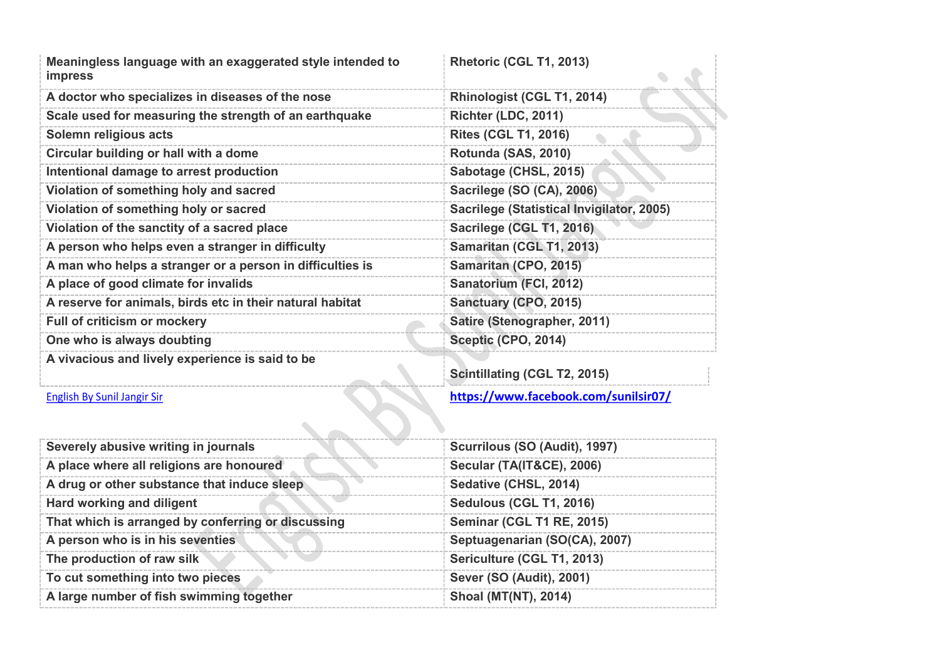| Meaningless language with an exaggerated style intended to<br><b>impress</b> | Rhetoric (CGL T1, 2013)                   |
|------------------------------------------------------------------------------|-------------------------------------------|
| A doctor who specializes in diseases of the nose                             | Rhinologist (CGL T1, 2014)                |
| Scale used for measuring the strength of an earthquake                       | Richter (LDC, 2011)                       |
| Solemn religious acts                                                        | <b>Rites (CGL T1, 2016)</b>               |
| Circular building or hall with a dome                                        | Rotunda (SAS, 2010)                       |
| Intentional damage to arrest production                                      | Sabotage (CHSL, 2015)                     |
| Violation of something holy and sacred                                       | Sacrilege (SO (CA), 2006)                 |
| Violation of something holy or sacred                                        | Sacrilege (Statistical Invigilator, 2005) |
| Violation of the sanctity of a sacred place                                  | Sacrilege (CGL T1, 2016)                  |
| A person who helps even a stranger in difficulty                             | Samaritan (CGL T1, 2013)                  |
| A man who helps a stranger or a person in difficulties is                    | Samaritan (CPO, 2015)                     |
| A place of good climate for invalids                                         | Sanatorium (FCI, 2012)                    |
| A reserve for animals, birds etc in their natural habitat                    | Sanctuary (CPO, 2015)                     |
| <b>Full of criticism or mockery</b>                                          | Satire (Stenographer, 2011)               |
| One who is always doubting                                                   | Sceptic (CPO, 2014)                       |
| A vivacious and lively experience is said to be                              | <b>Scintillating (CGL T2, 2015)</b>       |

| <b>Scintillating (CGL T2, 2015)</b> |  |  |
|-------------------------------------|--|--|
|                                     |  |  |

| Severely abusive writing in journals               | Scurrilous (SO (Audit), 1997)        |
|----------------------------------------------------|--------------------------------------|
| A place where all religions are honoured           | <b>Secular (TA(IT&amp;CE), 2006)</b> |
| A drug or other substance that induce sleep        | Sedative (CHSL, 2014)                |
| Hard working and diligent                          | Sedulous (CGL T1, 2016)              |
| That which is arranged by conferring or discussing | <b>Seminar (CGL T1 RE, 2015)</b>     |
| A person who is in his seventies                   | Septuagenarian (SO(CA), 2007)        |
| The production of raw silk                         | Sericulture (CGL T1, 2013)           |
| To cut something into two pieces                   | Sever (SO (Audit), 2001)             |
| A large number of fish swimming together           | <b>Shoal (MT(NT), 2014)</b>          |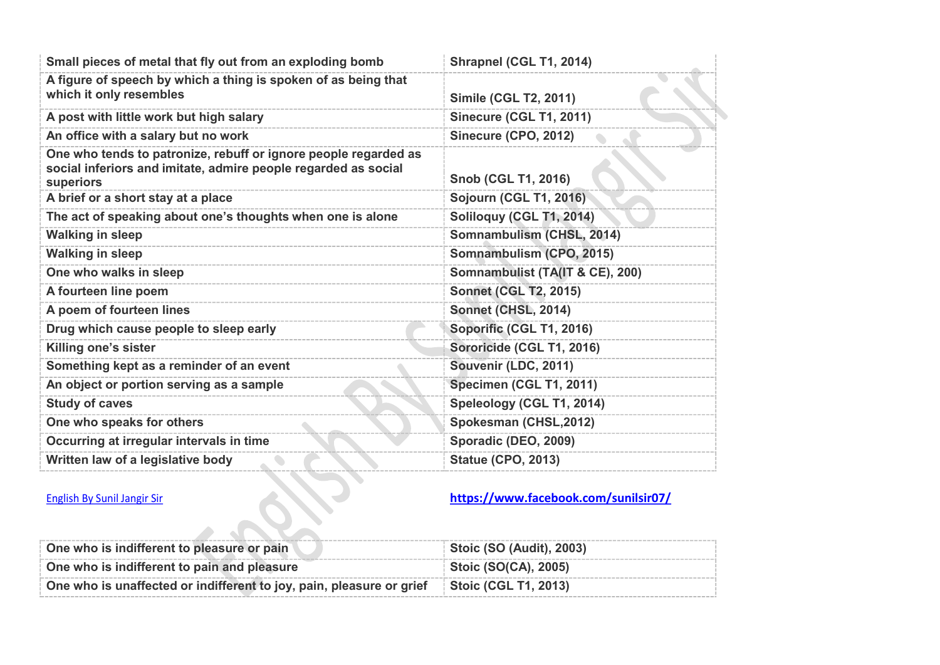| Small pieces of metal that fly out from an exploding bomb                                                                                      | Shrapnel (CGL T1, 2014)              |
|------------------------------------------------------------------------------------------------------------------------------------------------|--------------------------------------|
| A figure of speech by which a thing is spoken of as being that<br>which it only resembles                                                      | <b>Simile (CGL T2, 2011)</b>         |
| A post with little work but high salary                                                                                                        | <b>Sinecure (CGL T1, 2011)</b>       |
| An office with a salary but no work                                                                                                            | Sinecure (CPO, 2012)                 |
| One who tends to patronize, rebuff or ignore people regarded as<br>social inferiors and imitate, admire people regarded as social<br>superiors | <b>Snob (CGL T1, 2016)</b>           |
| A brief or a short stay at a place                                                                                                             | <b>Sojourn (CGL T1, 2016)</b>        |
| The act of speaking about one's thoughts when one is alone                                                                                     | Soliloquy (CGL T1, 2014)             |
| <b>Walking in sleep</b>                                                                                                                        | Somnambulism (CHSL, 2014)            |
| <b>Walking in sleep</b>                                                                                                                        | Somnambulism (CPO, 2015)             |
| One who walks in sleep                                                                                                                         | Somnambulist (TA(IT & CE), 200)      |
| A fourteen line poem                                                                                                                           | <b>Sonnet (CGL T2, 2015)</b>         |
| A poem of fourteen lines                                                                                                                       | Sonnet (CHSL, 2014)                  |
| Drug which cause people to sleep early                                                                                                         | Soporific (CGL T1, 2016)             |
| Killing one's sister                                                                                                                           | Sororicide (CGL T1, 2016)            |
| Something kept as a reminder of an event                                                                                                       | Souvenir (LDC, 2011)                 |
| An object or portion serving as a sample                                                                                                       | Specimen (CGL T1, 2011)              |
| <b>Study of caves</b>                                                                                                                          | Speleology (CGL T1, 2014)            |
| One who speaks for others                                                                                                                      | Spokesman (CHSL,2012)                |
| Occurring at irregular intervals in time                                                                                                       | Sporadic (DEO, 2009)                 |
| Written law of a legislative body                                                                                                              | <b>Statue (CPO, 2013)</b>            |
| <b>English By Sunil Jangir Sir</b>                                                                                                             | https://www.facebook.com/sunilsir07/ |

| One who is indifferent to pleasure or pain                           | <b>Stoic (SO (Audit), 2003)</b> |
|----------------------------------------------------------------------|---------------------------------|
| One who is indifferent to pain and pleasure                          | Stoic (SO(CA), 2005)            |
| One who is unaffected or indifferent to joy, pain, pleasure or grief | Stoic (CGL T1, 2013)            |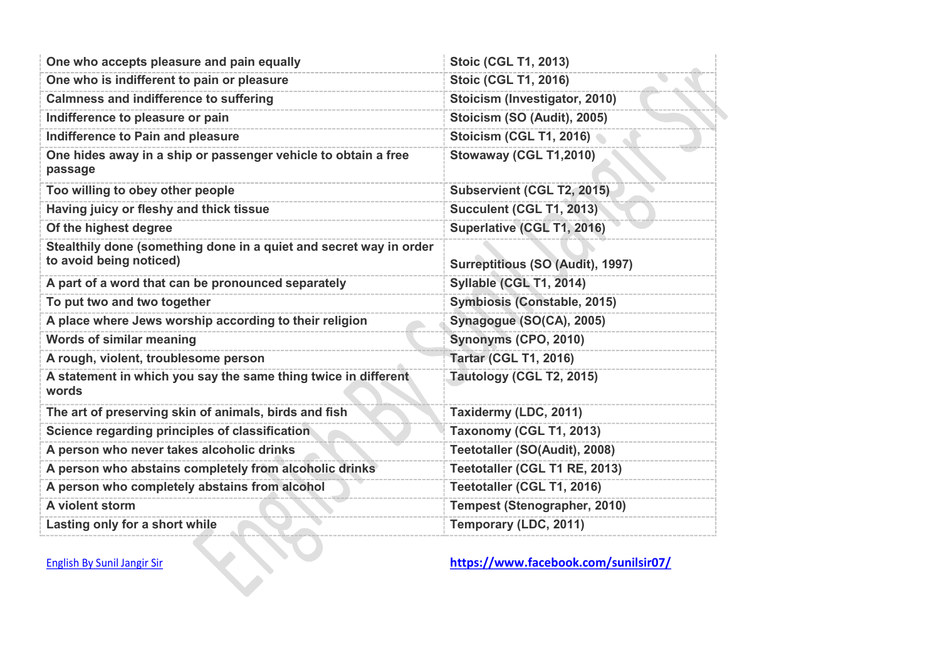| One who accepts pleasure and pain equally                                                     | <b>Stoic (CGL T1, 2013)</b>          |
|-----------------------------------------------------------------------------------------------|--------------------------------------|
| One who is indifferent to pain or pleasure                                                    | <b>Stoic (CGL T1, 2016)</b>          |
| <b>Calmness and indifference to suffering</b>                                                 | Stoicism (Investigator, 2010)        |
| Indifference to pleasure or pain                                                              | Stoicism (SO (Audit), 2005)          |
| Indifference to Pain and pleasure                                                             | <b>Stoicism (CGL T1, 2016)</b>       |
| One hides away in a ship or passenger vehicle to obtain a free<br>passage                     | Stowaway (CGL T1,2010)               |
| Too willing to obey other people                                                              | Subservient (CGL T2, 2015)           |
| Having juicy or fleshy and thick tissue                                                       | <b>Succulent (CGL T1, 2013)</b>      |
| Of the highest degree                                                                         | Superlative (CGL T1, 2016)           |
| Stealthily done (something done in a quiet and secret way in order<br>to avoid being noticed) | Surreptitious (SO (Audit), 1997)     |
| A part of a word that can be pronounced separately                                            | Syllable (CGL T1, 2014)              |
| To put two and two together                                                                   | Symbiosis (Constable, 2015)          |
| A place where Jews worship according to their religion                                        | Synagogue (SO(CA), 2005)             |
| <b>Words of similar meaning</b>                                                               | Synonyms (CPO, 2010)                 |
| A rough, violent, troublesome person                                                          | <b>Tartar (CGL T1, 2016)</b>         |
| A statement in which you say the same thing twice in different<br>words                       | Tautology (CGL T2, 2015)             |
| The art of preserving skin of animals, birds and fish                                         | Taxidermy (LDC, 2011)                |
| Science regarding principles of classification                                                | Taxonomy (CGL T1, 2013)              |
| A person who never takes alcoholic drinks                                                     | Teetotaller (SO(Audit), 2008)        |
| A person who abstains completely from alcoholic drinks                                        | Teetotaller (CGL T1 RE, 2013)        |
| A person who completely abstains from alcohol                                                 | Teetotaller (CGL T1, 2016)           |
| A violent storm                                                                               | <b>Tempest (Stenographer, 2010)</b>  |
| Lasting only for a short while                                                                | Temporary (LDC, 2011)                |
| <b>English By Sunil Jangir Sir</b>                                                            | https://www.facebook.com/sunilsir07/ |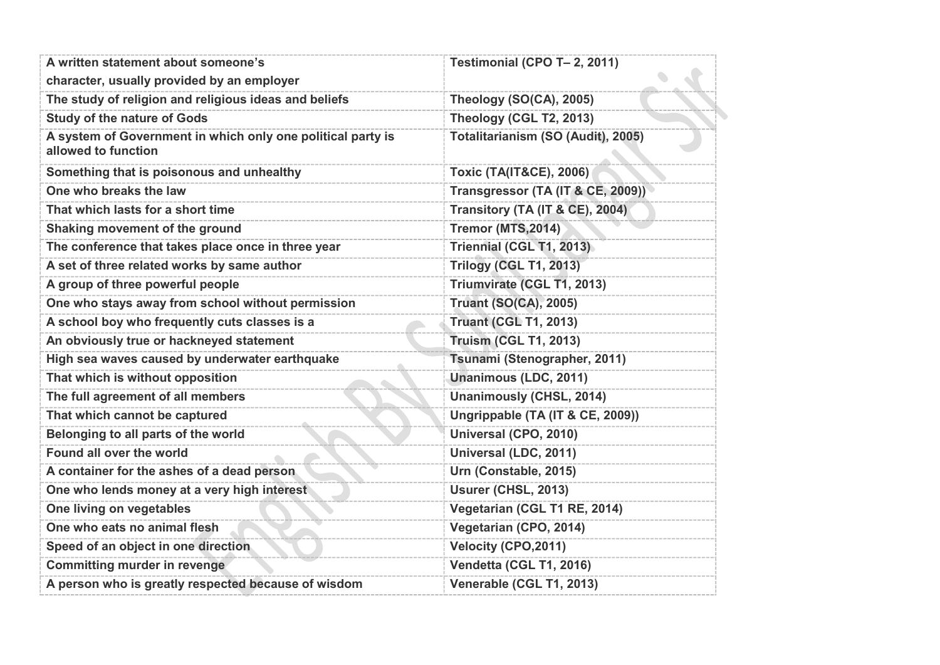| A written statement about someone's                                                | Testimonial (CPO T- 2, 2011)       |
|------------------------------------------------------------------------------------|------------------------------------|
| character, usually provided by an employer                                         |                                    |
| The study of religion and religious ideas and beliefs                              | Theology (SO(CA), 2005)            |
| <b>Study of the nature of Gods</b>                                                 | Theology (CGL T2, 2013)            |
| A system of Government in which only one political party is<br>allowed to function | Totalitarianism (SO (Audit), 2005) |
| Something that is poisonous and unhealthy                                          | <b>Toxic (TA(IT&amp;CE), 2006)</b> |
| One who breaks the law                                                             | Transgressor (TA (IT & CE, 2009))  |
| That which lasts for a short time                                                  | Transitory (TA (IT & CE), 2004)    |
| Shaking movement of the ground                                                     | <b>Tremor (MTS, 2014)</b>          |
| The conference that takes place once in three year                                 | Triennial (CGL T1, 2013)           |
| A set of three related works by same author                                        | <b>Trilogy (CGL T1, 2013)</b>      |
| A group of three powerful people                                                   | Triumvirate (CGL T1, 2013)         |
| One who stays away from school without permission                                  | <b>Truant (SO(CA), 2005)</b>       |
| A school boy who frequently cuts classes is a                                      | <b>Truant (CGL T1, 2013)</b>       |
| An obviously true or hackneyed statement                                           | <b>Truism (CGL T1, 2013)</b>       |
| High sea waves caused by underwater earthquake                                     | Tsunami (Stenographer, 2011)       |
| That which is without opposition                                                   | <b>Unanimous (LDC, 2011)</b>       |
| The full agreement of all members                                                  | <b>Unanimously (CHSL, 2014)</b>    |
| That which cannot be captured                                                      | Ungrippable (TA (IT & CE, 2009))   |
| Belonging to all parts of the world                                                | Universal (CPO, 2010)              |
| Found all over the world                                                           | Universal (LDC, 2011)              |
| A container for the ashes of a dead person                                         | Urn (Constable, 2015)              |
| One who lends money at a very high interest                                        | Usurer (CHSL, 2013)                |
| One living on vegetables                                                           | Vegetarian (CGL T1 RE, 2014)       |
| One who eats no animal flesh                                                       | Vegetarian (CPO, 2014)             |
| Speed of an object in one direction                                                | Velocity (CPO, 2011)               |
| <b>Committing murder in revenge</b>                                                | Vendetta (CGL T1, 2016)            |
| A person who is greatly respected because of wisdom                                | Venerable (CGL T1, 2013)           |